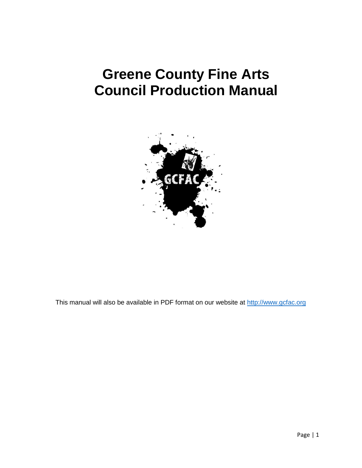# **Greene County Fine Arts Council Production Manual**



This manual will also be available in PDF format on our website at [http://www.gcfac.org](http://www.gcfac.org/)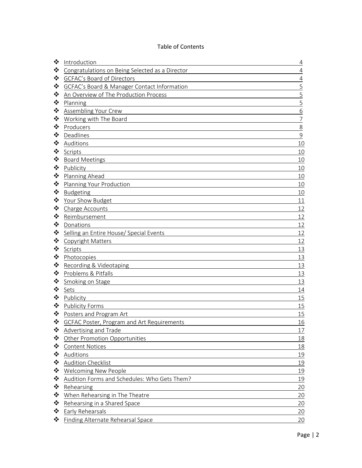#### Table of Contents

| ❖ | Introduction                                    | $\overline{4}$ |
|---|-------------------------------------------------|----------------|
| ❖ | Congratulations on Being Selected as a Director | $\overline{4}$ |
| ❖ | GCFAC's Board of Directors                      | $\sqrt{4}$     |
| ❖ | GCFAC's Board & Manager Contact Information     | 5              |
| ❖ | An Overview of The Production Process           | 5              |
| ❖ | Planning                                        | 5              |
| ❖ | Assembling Your Crew                            | 6              |
| ❖ | Working with The Board                          | $\overline{7}$ |
| ❖ | Producers                                       | 8              |
| ❖ | Deadlines                                       | $\mathsf 9$    |
| ❖ | Auditions                                       | 10             |
| ❖ | Scripts                                         | 10             |
| ❖ | <b>Board Meetings</b>                           | 10             |
| ❖ | Publicity                                       | 10             |
| ❖ | Planning Ahead                                  | 10             |
| ❖ | Planning Your Production                        | 10             |
| ❖ | Budgeting                                       | 10             |
| ❖ | Your Show Budget                                | 11             |
| ❖ | Charge Accounts                                 | 12             |
| ❖ | Reimbursement                                   | 12             |
| ❖ | Donations                                       | 12             |
| ❖ | Selling an Entire House/ Special Events         | 12             |
| ❖ | Copyright Matters                               | 12             |
| ❖ | Scripts                                         | 13             |
| ❖ | Photocopies                                     | 13             |
| ❖ | Recording & Videotaping                         | 13             |
| ❖ | Problems & Pitfalls                             | 13             |
| ❖ | Smoking on Stage                                | 13             |
| ❖ | Sets                                            | 14             |
| ❖ | Publicity                                       | 15             |
| ❖ | <b>Publicity Forms</b>                          | 15             |
| ❖ | Posters and Program Art                         | 15             |
|   | GCFAC Poster, Program and Art Requirements      | 16             |
| ❖ | Advertising and Trade                           | 17             |
| ❖ | Other Promotion Opportunities                   | 18             |
| ❖ | <b>Content Notices</b>                          | 18             |
| ❖ | Auditions                                       | 19             |
| ❖ | <b>Audition Checklist</b>                       | 19             |
| ❖ | <b>Welcoming New People</b>                     | 19             |
| ❖ | Audition Forms and Schedules: Who Gets Them?    | 19             |
| ❖ | Rehearsing                                      | 20             |
| ❖ | When Rehearsing in The Theatre                  | 20             |
| ❖ | Rehearsing in a Shared Space                    | 20             |
| ❖ | <b>Early Rehearsals</b>                         | 20             |
| ❖ | Finding Alternate Rehearsal Space               | 20             |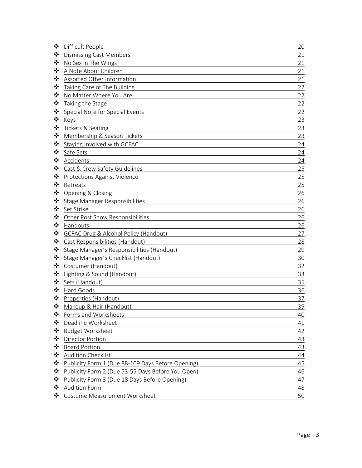| ❖ | Difficult People                                  | 20 |
|---|---------------------------------------------------|----|
| ❖ | <b>Dismissing Cast Members</b>                    | 21 |
| ❖ | No Sex in The Wings                               | 21 |
| ❖ | A Note About Children                             | 21 |
| ❖ | Assorted Other Information                        | 21 |
| ❖ | Taking Care of The Building                       | 22 |
| ❖ | No Matter Where You Are                           | 22 |
| ❖ | Taking the Stage                                  | 22 |
| ❖ | Special Note for Special Events                   | 22 |
| ❖ | Keys                                              | 23 |
| ❖ | Tickets & Seating                                 | 23 |
| ❖ | Membership & Season Tickets                       | 23 |
| ❖ | Staying Involved with GCFAC                       | 24 |
| ❖ | Safe Sets                                         | 24 |
| ❖ | Accidents                                         | 24 |
| ❖ | Cast & Crew Safety Guidelines                     | 25 |
| ❖ | <b>Protections Against Violence</b>               | 25 |
| ❖ | Retreats                                          | 25 |
| ❖ | Opening & Closing                                 | 26 |
| ❖ | Stage Manager Responsibilities                    | 26 |
| ❖ | Set Strike                                        | 26 |
| ❖ | Other Post Show Responsibilities                  | 26 |
| ❖ | Handouts                                          | 26 |
| ❖ | <b>GCFAC Drug &amp; Alcohol Policy (Handout)</b>  | 27 |
| ❖ | Cast Responsibilities (Handout)                   | 28 |
| ❖ | Stage Manager's Responsibilities (Handout)        | 29 |
| ❖ | Stage Manager's Checklist (Handout)               | 30 |
| ❖ | Costumer (Handout)                                | 32 |
| ❖ | Lighting & Sound (Handout)                        | 33 |
| ❖ | Sets (Handout)                                    | 35 |
| ❖ | Hard Goods                                        | 36 |
| ❖ | Properties (Handout)                              | 37 |
| ❖ | Makeup & Hair (Handout)                           | 39 |
| ❖ | Forms and Worksheets                              | 40 |
| ❖ | Deadline Worksheet                                | 41 |
| ❖ | <b>Budget Worksheet</b>                           | 42 |
| ❖ | <b>Director Portion</b>                           | 43 |
| ❖ | <b>Board Portion</b>                              | 43 |
| ❖ | <b>Audition Checklist</b>                         | 44 |
| ❖ | Publicity Form 1 (Due 88-109 Days Before Opening) | 45 |
| ❖ | Publicity Form 2 (Due 53-55 Days Before You Open) | 46 |
| ❖ | Publicity Form 3 (Due 18 Days Before Opening)     | 47 |
| ❖ | <b>Audition Form</b>                              | 48 |
| ❖ | Costume Measurement Worksheet                     | 50 |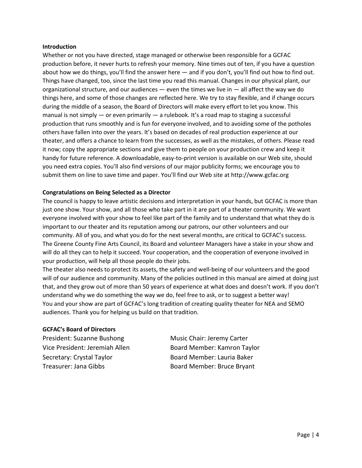#### **Introduction**

Whether or not you have directed, stage managed or otherwise been responsible for a GCFAC production before, it never hurts to refresh your memory. Nine times out of ten, if you have a question about how we do things, you'll find the answer here — and if you don't, you'll find out how to find out. Things have changed, too, since the last time you read this manual. Changes in our physical plant, our organizational structure, and our audiences  $-$  even the times we live in  $-$  all affect the way we do things here, and some of those changes are reflected here. We try to stay flexible, and if change occurs during the middle of a season, the Board of Directors will make every effort to let you know. This manual is not simply — or even primarily — a rulebook. It's a road map to staging a successful production that runs smoothly and is fun for everyone involved, and to avoiding some of the potholes others have fallen into over the years. It's based on decades of real production experience at our theater, and offers a chance to learn from the successes, as well as the mistakes, of others. Please read it now; copy the appropriate sections and give them to people on your production crew and keep it handy for future reference. A downloadable, easy-to-print version is available on our Web site, should you need extra copies. You'll also find versions of our major publicity forms; we encourage you to submit them on line to save time and paper. You'll find our Web site at http://www.gcfac.org

#### **Congratulations on Being Selected as a Director**

The council is happy to leave artistic decisions and interpretation in your hands, but GCFAC is more than just one show. Your show, and all those who take part in it are part of a theater community. We want everyone involved with your show to feel like part of the family and to understand that what they do is important to our theater and its reputation among our patrons, our other volunteers and our community. All of you, and what you do for the next several months, are critical to GCFAC's success. The Greene County Fine Arts Council, its Board and volunteer Managers have a stake in your show and will do all they can to help it succeed. Your cooperation, and the cooperation of everyone involved in your production, will help all those people do their jobs.

The theater also needs to protect its assets, the safety and well-being of our volunteers and the good will of our audience and community. Many of the policies outlined in this manual are aimed at doing just that, and they grow out of more than 50 years of experience at what does and doesn't work. If you don't understand why we do something the way we do, feel free to ask, or to suggest a better way! You and your show are part of GCFAC's long tradition of creating quality theater for NEA and SEMO audiences. Thank you for helping us build on that tradition.

#### **GCFAC's Board of Directors**

President: Suzanne Bushong Music Chair: Jeremy Carter Secretary: Crystal Taylor **Board Member: Lauria Baker** Treasurer: Jana Gibbs Board Member: Bruce Bryant

Vice President: Jeremiah Allen Board Member: Kamron Taylor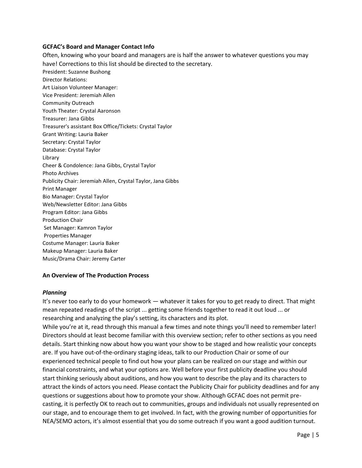#### **GCFAC's Board and Manager Contact Info**

Often, knowing who your board and managers are is half the answer to whatever questions you may have! Corrections to this list should be directed to the secretary. President: Suzanne Bushong Director Relations: Art Liaison Volunteer Manager: Vice President: Jeremiah Allen Community Outreach Youth Theater: Crystal Aaronson Treasurer: Jana Gibbs Treasurer's assistant Box Office/Tickets: Crystal Taylor Grant Writing: Lauria Baker Secretary: Crystal Taylor Database: Crystal Taylor Library Cheer & Condolence: Jana Gibbs, Crystal Taylor Photo Archives Publicity Chair: Jeremiah Allen, Crystal Taylor, Jana Gibbs Print Manager Bio Manager: Crystal Taylor Web/Newsletter Editor: Jana Gibbs Program Editor: Jana Gibbs Production Chair Set Manager: Kamron Taylor Properties Manager Costume Manager: Lauria Baker Makeup Manager: Lauria Baker Music/Drama Chair: Jeremy Carter

#### **An Overview of The Production Process**

#### *Planning*

It's never too early to do your homework — whatever it takes for you to get ready to direct. That might mean repeated readings of the script ... getting some friends together to read it out loud ... or researching and analyzing the play's setting, its characters and its plot.

While you're at it, read through this manual a few times and note things you'll need to remember later! Directors should at least become familiar with this overview section; refer to other sections as you need details. Start thinking now about how you want your show to be staged and how realistic your concepts are. If you have out-of-the-ordinary staging ideas, talk to our Production Chair or some of our experienced technical people to find out how your plans can be realized on our stage and within our financial constraints, and what your options are. Well before your first publicity deadline you should start thinking seriously about auditions, and how you want to describe the play and its characters to attract the kinds of actors you need. Please contact the Publicity Chair for publicity deadlines and for any questions or suggestions about how to promote your show. Although GCFAC does not permit precasting, it is perfectly OK to reach out to communities, groups and individuals not usually represented on our stage, and to encourage them to get involved. In fact, with the growing number of opportunities for NEA/SEMO actors, it's almost essential that you do some outreach if you want a good audition turnout.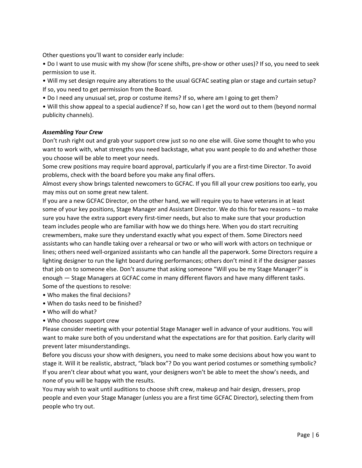Other questions you'll want to consider early include:

• Do I want to use music with my show (for scene shifts, pre-show or other uses)? If so, you need to seek permission to use it.

• Will my set design require any alterations to the usual GCFAC seating plan or stage and curtain setup? If so, you need to get permission from the Board.

• Do I need any unusual set, prop or costume items? If so, where am I going to get them?

• Will this show appeal to a special audience? If so, how can I get the word out to them (beyond normal publicity channels).

#### *Assembling Your Crew*

Don't rush right out and grab your support crew just so no one else will. Give some thought to who you want to work with, what strengths you need backstage, what you want people to do and whether those you choose will be able to meet your needs.

Some crew positions may require board approval, particularly if you are a first-time Director. To avoid problems, check with the board before you make any final offers.

Almost every show brings talented newcomers to GCFAC. If you fill all your crew positions too early, you may miss out on some great new talent.

If you are a new GCFAC Director, on the other hand, we will require you to have veterans in at least some of your key positions, Stage Manager and Assistant Director. We do this for two reasons – to make sure you have the extra support every first-timer needs, but also to make sure that your production team includes people who are familiar with how we do things here. When you do start recruiting crewmembers, make sure they understand exactly what you expect of them. Some Directors need assistants who can handle taking over a rehearsal or two or who will work with actors on technique or lines; others need well-organized assistants who can handle all the paperwork. Some Directors require a lighting designer to run the light board during performances; others don't mind it if the designer passes that job on to someone else. Don't assume that asking someone "Will you be my Stage Manager?" is enough — Stage Managers at GCFAC come in many different flavors and have many different tasks. Some of the questions to resolve:

- Who makes the final decisions?
- When do tasks need to be finished?
- Who will do what?
- Who chooses support crew

Please consider meeting with your potential Stage Manager well in advance of your auditions. You will want to make sure both of you understand what the expectations are for that position. Early clarity will prevent later misunderstandings.

Before you discuss your show with designers, you need to make some decisions about how you want to stage it. Will it be realistic, abstract, "black box"? Do you want period costumes or something symbolic? If you aren't clear about what you want, your designers won't be able to meet the show's needs, and none of you will be happy with the results.

You may wish to wait until auditions to choose shift crew, makeup and hair design, dressers, prop people and even your Stage Manager (unless you are a first time GCFAC Director), selecting them from people who try out.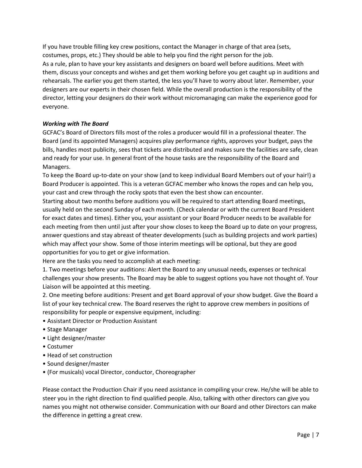If you have trouble filling key crew positions, contact the Manager in charge of that area (sets, costumes, props, etc.) They should be able to help you find the right person for the job. As a rule, plan to have your key assistants and designers on board well before auditions. Meet with them, discuss your concepts and wishes and get them working before you get caught up in auditions and rehearsals. The earlier you get them started, the less you'll have to worry about later. Remember, your designers are our experts in their chosen field. While the overall production is the responsibility of the director, letting your designers do their work without micromanaging can make the experience good for everyone.

#### *Working with The Board*

GCFAC's Board of Directors fills most of the roles a producer would fill in a professional theater. The Board (and its appointed Managers) acquires play performance rights, approves your budget, pays the bills, handles most publicity, sees that tickets are distributed and makes sure the facilities are safe, clean and ready for your use. In general front of the house tasks are the responsibility of the Board and Managers.

To keep the Board up-to-date on your show (and to keep individual Board Members out of your hair!) a Board Producer is appointed. This is a veteran GCFAC member who knows the ropes and can help you, your cast and crew through the rocky spots that even the best show can encounter.

Starting about two months before auditions you will be required to start attending Board meetings, usually held on the second Sunday of each month. (Check calendar or with the current Board President for exact dates and times). Either you, your assistant or your Board Producer needs to be available for each meeting from then until just after your show closes to keep the Board up to date on your progress, answer questions and stay abreast of theater developments (such as building projects and work parties) which may affect your show. Some of those interim meetings will be optional, but they are good opportunities for you to get or give information.

Here are the tasks you need to accomplish at each meeting:

1. Two meetings before your auditions: Alert the Board to any unusual needs, expenses or technical challenges your show presents. The Board may be able to suggest options you have not thought of. Your Liaison will be appointed at this meeting.

2. One meeting before auditions: Present and get Board approval of your show budget. Give the Board a list of your key technical crew. The Board reserves the right to approve crew members in positions of responsibility for people or expensive equipment, including:

- Assistant Director or Production Assistant
- Stage Manager
- Light designer/master
- Costumer
- Head of set construction
- Sound designer/master
- (For musicals) vocal Director, conductor, Choreographer

Please contact the Production Chair if you need assistance in compiling your crew. He/she will be able to steer you in the right direction to find qualified people. Also, talking with other directors can give you names you might not otherwise consider. Communication with our Board and other Directors can make the difference in getting a great crew.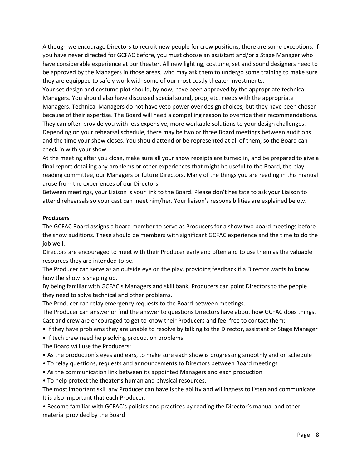Although we encourage Directors to recruit new people for crew positions, there are some exceptions. If you have never directed for GCFAC before, you must choose an assistant and/or a Stage Manager who have considerable experience at our theater. All new lighting, costume, set and sound designers need to be approved by the Managers in those areas, who may ask them to undergo some training to make sure they are equipped to safely work with some of our most costly theater investments.

Your set design and costume plot should, by now, have been approved by the appropriate technical Managers. You should also have discussed special sound, prop, etc. needs with the appropriate Managers. Technical Managers do not have veto power over design choices, but they have been chosen because of their expertise. The Board will need a compelling reason to override their recommendations. They can often provide you with less expensive, more workable solutions to your design challenges. Depending on your rehearsal schedule, there may be two or three Board meetings between auditions and the time your show closes. You should attend or be represented at all of them, so the Board can check in with your show.

At the meeting after you close, make sure all your show receipts are turned in, and be prepared to give a final report detailing any problems or other experiences that might be useful to the Board, the playreading committee, our Managers or future Directors. Many of the things you are reading in this manual arose from the experiences of our Directors.

Between meetings, your Liaison is your link to the Board. Please don't hesitate to ask your Liaison to attend rehearsals so your cast can meet him/her. Your liaison's responsibilities are explained below.

#### *Producers*

The GCFAC Board assigns a board member to serve as Producers for a show two board meetings before the show auditions. These should be members with significant GCFAC experience and the time to do the job well.

Directors are encouraged to meet with their Producer early and often and to use them as the valuable resources they are intended to be.

The Producer can serve as an outside eye on the play, providing feedback if a Director wants to know how the show is shaping up.

By being familiar with GCFAC's Managers and skill bank, Producers can point Directors to the people they need to solve technical and other problems.

The Producer can relay emergency requests to the Board between meetings.

The Producer can answer or find the answer to questions Directors have about how GCFAC does things. Cast and crew are encouraged to get to know their Producers and feel free to contact them:

• If they have problems they are unable to resolve by talking to the Director, assistant or Stage Manager

• If tech crew need help solving production problems

The Board will use the Producers:

- As the production's eyes and ears, to make sure each show is progressing smoothly and on schedule
- To relay questions, requests and announcements to Directors between Board meetings
- As the communication link between its appointed Managers and each production

• To help protect the theater's human and physical resources.

The most important skill any Producer can have is the ability and willingness to listen and communicate. It is also important that each Producer:

• Become familiar with GCFAC's policies and practices by reading the Director's manual and other material provided by the Board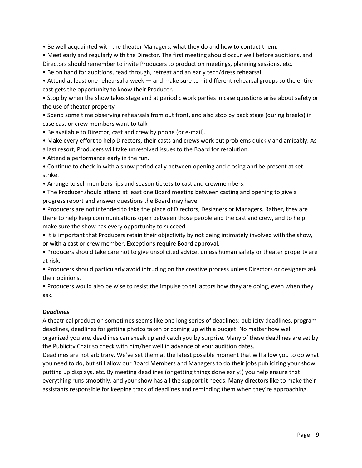• Be well acquainted with the theater Managers, what they do and how to contact them.

• Meet early and regularly with the Director. The first meeting should occur well before auditions, and Directors should remember to invite Producers to production meetings, planning sessions, etc.

• Be on hand for auditions, read through, retreat and an early tech/dress rehearsal

• Attend at least one rehearsal a week — and make sure to hit different rehearsal groups so the entire cast gets the opportunity to know their Producer.

• Stop by when the show takes stage and at periodic work parties in case questions arise about safety or the use of theater property

• Spend some time observing rehearsals from out front, and also stop by back stage (during breaks) in case cast or crew members want to talk

• Be available to Director, cast and crew by phone (or e-mail).

• Make every effort to help Directors, their casts and crews work out problems quickly and amicably. As a last resort, Producers will take unresolved issues to the Board for resolution.

• Attend a performance early in the run.

• Continue to check in with a show periodically between opening and closing and be present at set strike.

• Arrange to sell memberships and season tickets to cast and crewmembers.

• The Producer should attend at least one Board meeting between casting and opening to give a progress report and answer questions the Board may have.

• Producers are not intended to take the place of Directors, Designers or Managers. Rather, they are there to help keep communications open between those people and the cast and crew, and to help make sure the show has every opportunity to succeed.

• It is important that Producers retain their objectivity by not being intimately involved with the show, or with a cast or crew member. Exceptions require Board approval.

• Producers should take care not to give unsolicited advice, unless human safety or theater property are at risk.

• Producers should particularly avoid intruding on the creative process unless Directors or designers ask their opinions.

• Producers would also be wise to resist the impulse to tell actors how they are doing, even when they ask.

#### *Deadlines*

A theatrical production sometimes seems like one long series of deadlines: publicity deadlines, program deadlines, deadlines for getting photos taken or coming up with a budget. No matter how well organized you are, deadlines can sneak up and catch you by surprise. Many of these deadlines are set by the Publicity Chair so check with him/her well in advance of your audition dates.

Deadlines are not arbitrary. We've set them at the latest possible moment that will allow you to do what you need to do, but still allow our Board Members and Managers to do their jobs publicizing your show, putting up displays, etc. By meeting deadlines (or getting things done early!) you help ensure that everything runs smoothly, and your show has all the support it needs. Many directors like to make their assistants responsible for keeping track of deadlines and reminding them when they're approaching.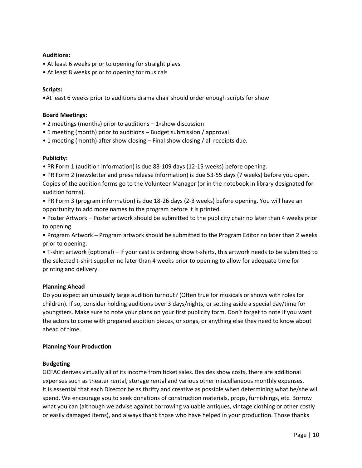#### **Auditions:**

- At least 6 weeks prior to opening for straight plays
- At least 8 weeks prior to opening for musicals

#### **Scripts:**

•At least 6 weeks prior to auditions drama chair should order enough scripts for show

#### **Board Meetings:**

- 2 meetings (months) prior to auditions  $-1$ <sup>st</sup> show discussion
- 1 meeting (month) prior to auditions Budget submission / approval
- 1 meeting (month) after show closing Final show closing / all receipts due.

#### **Publicity:**

- PR Form 1 (audition information) is due 88-109 days (12-15 weeks) before opening.
- PR Form 2 (newsletter and press release information) is due 53-55 days (7 weeks) before you open. Copies of the audition forms go to the Volunteer Manager (or in the notebook in library designated for audition forms).
- PR Form 3 (program information) is due 18-26 days (2-3 weeks) before opening. You will have an opportunity to add more names to the program before it is printed.
- Poster Artwork Poster artwork should be submitted to the publicity chair no later than 4 weeks prior to opening.

• Program Artwork – Program artwork should be submitted to the Program Editor no later than 2 weeks prior to opening.

• T-shirt artwork (optional) – If your cast is ordering show t-shirts, this artwork needs to be submitted to the selected t-shirt supplier no later than 4 weeks prior to opening to allow for adequate time for printing and delivery.

#### **Planning Ahead**

Do you expect an unusually large audition turnout? (Often true for musicals or shows with roles for children). If so, consider holding auditions over 3 days/nights, or setting aside a special day/time for youngsters. Make sure to note your plans on your first publicity form. Don't forget to note if you want the actors to come with prepared audition pieces, or songs, or anything else they need to know about ahead of time.

#### **Planning Your Production**

#### **Budgeting**

GCFAC derives virtually all of its income from ticket sales. Besides show costs, there are additional expenses such as theater rental, storage rental and various other miscellaneous monthly expenses. It is essential that each Director be as thrifty and creative as possible when determining what he/she will spend. We encourage you to seek donations of construction materials, props, furnishings, etc. Borrow what you can (although we advise against borrowing valuable antiques, vintage clothing or other costly or easily damaged items), and always thank those who have helped in your production. Those thanks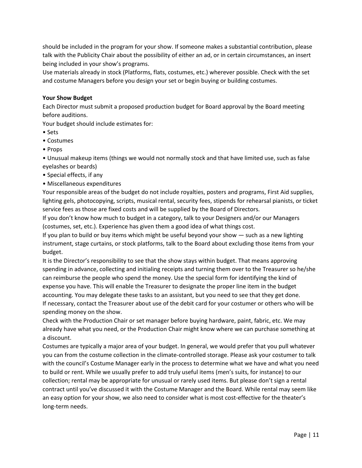should be included in the program for your show. If someone makes a substantial contribution, please talk with the Publicity Chair about the possibility of either an ad, or in certain circumstances, an insert being included in your show's programs.

Use materials already in stock (Platforms, flats, costumes, etc.) wherever possible. Check with the set and costume Managers before you design your set or begin buying or building costumes.

#### **Your Show Budget**

Each Director must submit a proposed production budget for Board approval by the Board meeting before auditions.

Your budget should include estimates for:

- Sets
- Costumes
- Props

• Unusual makeup items (things we would not normally stock and that have limited use, such as false eyelashes or beards)

- Special effects, if any
- Miscellaneous expenditures

Your responsible areas of the budget do not include royalties, posters and programs, First Aid supplies, lighting gels, photocopying, scripts, musical rental, security fees, stipends for rehearsal pianists, or ticket service fees as those are fixed costs and will be supplied by the Board of Directors.

If you don't know how much to budget in a category, talk to your Designers and/or our Managers (costumes, set, etc.). Experience has given them a good idea of what things cost.

If you plan to build or buy items which might be useful beyond your show — such as a new lighting instrument, stage curtains, or stock platforms, talk to the Board about excluding those items from your budget.

It is the Director's responsibility to see that the show stays within budget. That means approving spending in advance, collecting and initialing receipts and turning them over to the Treasurer so he/she can reimburse the people who spend the money. Use the special form for identifying the kind of expense you have. This will enable the Treasurer to designate the proper line item in the budget accounting. You may delegate these tasks to an assistant, but you need to see that they get done. If necessary, contact the Treasurer about use of the debit card for your costumer or others who will be spending money on the show.

Check with the Production Chair or set manager before buying hardware, paint, fabric, etc. We may already have what you need, or the Production Chair might know where we can purchase something at a discount.

Costumes are typically a major area of your budget. In general, we would prefer that you pull whatever you can from the costume collection in the climate-controlled storage. Please ask your costumer to talk with the council's Costume Manager early in the process to determine what we have and what you need to build or rent. While we usually prefer to add truly useful items (men's suits, for instance) to our collection; rental may be appropriate for unusual or rarely used items. But please don't sign a rental contract until you've discussed it with the Costume Manager and the Board. While rental may seem like an easy option for your show, we also need to consider what is most cost-effective for the theater's long-term needs.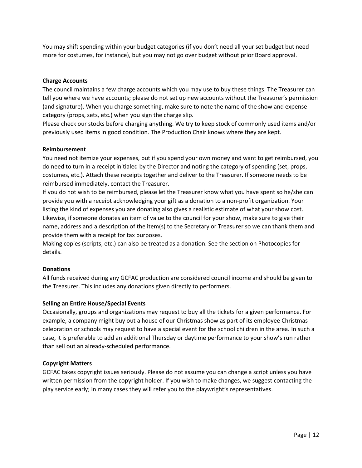You may shift spending within your budget categories (if you don't need all your set budget but need more for costumes, for instance), but you may not go over budget without prior Board approval.

#### **Charge Accounts**

The council maintains a few charge accounts which you may use to buy these things. The Treasurer can tell you where we have accounts; please do not set up new accounts without the Treasurer's permission (and signature). When you charge something, make sure to note the name of the show and expense category (props, sets, etc.) when you sign the charge slip.

Please check our stocks before charging anything. We try to keep stock of commonly used items and/or previously used items in good condition. The Production Chair knows where they are kept.

#### **Reimbursement**

You need not itemize your expenses, but if you spend your own money and want to get reimbursed, you do need to turn in a receipt initialed by the Director and noting the category of spending (set, props, costumes, etc.). Attach these receipts together and deliver to the Treasurer. If someone needs to be reimbursed immediately, contact the Treasurer.

If you do not wish to be reimbursed, please let the Treasurer know what you have spent so he/she can provide you with a receipt acknowledging your gift as a donation to a non-profit organization. Your listing the kind of expenses you are donating also gives a realistic estimate of what your show cost. Likewise, if someone donates an item of value to the council for your show, make sure to give their name, address and a description of the item(s) to the Secretary or Treasurer so we can thank them and provide them with a receipt for tax purposes.

Making copies (scripts, etc.) can also be treated as a donation. See the section on Photocopies for details.

#### **Donations**

All funds received during any GCFAC production are considered council income and should be given to the Treasurer. This includes any donations given directly to performers.

#### **Selling an Entire House/Special Events**

Occasionally, groups and organizations may request to buy all the tickets for a given performance. For example, a company might buy out a house of our Christmas show as part of its employee Christmas celebration or schools may request to have a special event for the school children in the area. In such a case, it is preferable to add an additional Thursday or daytime performance to your show's run rather than sell out an already-scheduled performance.

#### **Copyright Matters**

GCFAC takes copyright issues seriously. Please do not assume you can change a script unless you have written permission from the copyright holder. If you wish to make changes, we suggest contacting the play service early; in many cases they will refer you to the playwright's representatives.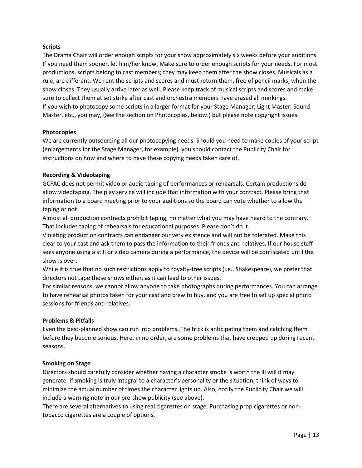#### **Scripts**

The Drama Chair will order enough scripts for your show approximately six weeks before your auditions. If you need them sooner, let him/her know. Make sure to order enough scripts for your needs. For most productions, scripts belong to cast members; they may keep them after the show closes. Musicals as a rule, are different: We rent the scripts and scores and must return them, free of pencil marks, when the show closes. They usually arrive later as well. Please keep track of musical scripts and scores and make sure to collect them at set strike after cast and orchestra members have erased all markings. If you wish to photocopy some scripts in a larger format for your Stage Manager, Light Master, Sound Master, etc., you may, (See the section on Photocopies, below.) but please note copyright issues.

#### **Photocopies**

We are currently outsourcing all our photocopying needs. Should you need to make copies of your script (enlargements for the Stage Manager, for example), you should contact the Publicity Chair for instructions on how and where to have these copying needs taken care of.

#### **Recording & Videotaping**

GCFAC does not permit video or audio taping of performances or rehearsals. Certain productions do allow videotaping. The play service will include that information with your contract. Please bring that information to a board meeting prior to your auditions so the board can vote whether to allow the taping or not.

Almost all production contracts prohibit taping, no matter what you may have heard to the contrary. That includes taping of rehearsals for educational purposes. Please don't do it.

Violating production contracts can endanger our very existence and will not be tolerated. Make this clear to your cast and ask them to pass the information to their friends and relatives. If our house staff sees anyone using a still or video camera during a performance, the device will be confiscated until the show is over.

While it is true that no such restrictions apply to royalty-free scripts (i.e., Shakespeare), we prefer that directors not tape those shows either, as it can lead to other issues.

For similar reasons, we cannot allow anyone to take photographs during performances. You can arrange to have rehearsal photos taken for your cast and crew to buy, and you are free to set up special photo sessions for friends and relatives.

#### **Problems & Pitfalls**

Even the best-planned show can run into problems. The trick is anticipating them and catching them before they become serious. Here, in no order, are some problems that have cropped up during recent seasons.

#### **Smoking on Stage**

Directors should carefully consider whether having a character smoke is worth the ill will it may generate. If smoking is truly integral to a character's personality or the situation, think of ways to minimize the actual number of times the character lights up. Also, notify the Publicity Chair we will include a warning note in our pre-show publicity (see above).

There are several alternatives to using real cigarettes on stage. Purchasing prop cigarettes or nontobacco cigarettes are a couple of options.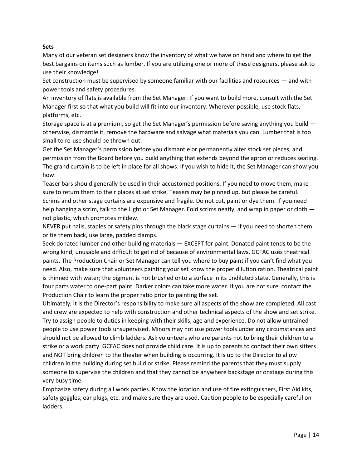#### **Sets**

Many of our veteran set designers know the inventory of what we have on hand and where to get the best bargains on items such as lumber. If you are utilizing one or more of these designers, please ask to use their knowledge!

Set construction must be supervised by someone familiar with our facilities and resources — and with power tools and safety procedures.

An inventory of flats is available from the Set Manager. If you want to build more, consult with the Set Manager first so that what you build will fit into our inventory. Wherever possible, use stock flats, platforms, etc.

Storage space is at a premium, so get the Set Manager's permission before saving anything you build otherwise, dismantle it, remove the hardware and salvage what materials you can. Lumber that is too small to re-use should be thrown out.

Get the Set Manager's permission before you dismantle or permanently alter stock set pieces, and permission from the Board before you build anything that extends beyond the apron or reduces seating. The grand curtain is to be left in place for all shows. If you wish to hide it, the Set Manager can show you how.

Teaser bars should generally be used in their accustomed positions. If you need to move them, make sure to return them to their places at set strike. Teasers may be pinned up, but please be careful. Scrims and other stage curtains are expensive and fragile. Do not cut, paint or dye them. If you need help hanging a scrim, talk to the Light or Set Manager. Fold scrims neatly, and wrap in paper or cloth not plastic, which promotes mildew.

NEVER put nails, staples or safety pins through the black stage curtains — if you need to shorten them or tie them back, use large, padded clamps.

Seek donated lumber and other building materials — EXCEPT for paint. Donated paint tends to be the wrong kind, unusable and difficult to get rid of because of environmental laws. GCFAC uses theatrical paints. The Production Chair or Set Manager can tell you where to buy paint if you can't find what you need. Also, make sure that volunteers painting your set know the proper dilution ration. Theatrical paint is thinned with water; the pigment is not brushed onto a surface in its undiluted state. Generally, this is four parts water to one-part paint. Darker colors can take more water. If you are not sure, contact the Production Chair to learn the proper ratio prior to painting the set.

Ultimately, it is the Director's responsibility to make sure all aspects of the show are completed. All cast and crew are expected to help with construction and other technical aspects of the show and set strike. Try to assign people to duties in keeping with their skills, age and experience. Do not allow untrained people to use power tools unsupervised. Minors may not use power tools under any circumstances and should not be allowed to climb ladders. Ask volunteers who are parents not to bring their children to a strike or a work party. GCFAC does not provide child care. It is up to parents to contact their own sitters and NOT bring children to the theater when building is occurring. It is up to the Director to allow children in the building during set build or strike. Please remind the parents that they must supply someone to supervise the children and that they cannot be anywhere backstage or onstage during this very busy time.

Emphasize safety during all work parties. Know the location and use of fire extinguishers, First Aid kits, safety goggles, ear plugs, etc. and make sure they are used. Caution people to be especially careful on ladders.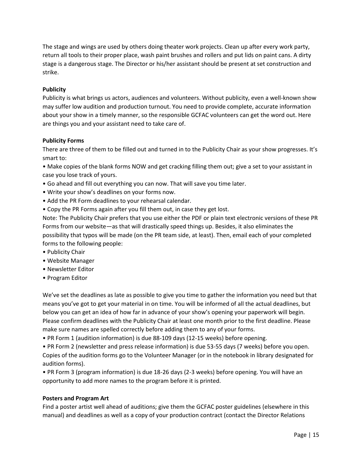The stage and wings are used by others doing theater work projects. Clean up after every work party, return all tools to their proper place, wash paint brushes and rollers and put lids on paint cans. A dirty stage is a dangerous stage. The Director or his/her assistant should be present at set construction and strike.

#### **Publicity**

Publicity is what brings us actors, audiences and volunteers. Without publicity, even a well-known show may suffer low audition and production turnout. You need to provide complete, accurate information about your show in a timely manner, so the responsible GCFAC volunteers can get the word out. Here are things you and your assistant need to take care of.

#### **Publicity Forms**

There are three of them to be filled out and turned in to the Publicity Chair as your show progresses. It's smart to:

• Make copies of the blank forms NOW and get cracking filling them out; give a set to your assistant in case you lose track of yours.

- Go ahead and fill out everything you can now. That will save you time later.
- Write your show's deadlines on your forms now.
- Add the PR Form deadlines to your rehearsal calendar.
- Copy the PR Forms again after you fill them out, in case they get lost.

Note: The Publicity Chair prefers that you use either the PDF or plain text electronic versions of these PR Forms from our website—as that will drastically speed things up. Besides, it also eliminates the possibility that typos will be made (on the PR team side, at least). Then, email each of your completed forms to the following people:

- Publicity Chair
- Website Manager
- Newsletter Editor
- Program Editor

We've set the deadlines as late as possible to give you time to gather the information you need but that means you've got to get your material in on time. You will be informed of all the actual deadlines, but below you can get an idea of how far in advance of your show's opening your paperwork will begin. Please confirm deadlines with the Publicity Chair at least one month prior to the first deadline. Please make sure names are spelled correctly before adding them to any of your forms.

• PR Form 1 (audition information) is due 88-109 days (12-15 weeks) before opening.

• PR Form 2 (newsletter and press release information) is due 53-55 days (7 weeks) before you open. Copies of the audition forms go to the Volunteer Manager (or in the notebook in library designated for audition forms).

• PR Form 3 (program information) is due 18-26 days (2-3 weeks) before opening. You will have an opportunity to add more names to the program before it is printed.

#### **Posters and Program Art**

Find a poster artist well ahead of auditions; give them the GCFAC poster guidelines (elsewhere in this manual) and deadlines as well as a copy of your production contract (contact the Director Relations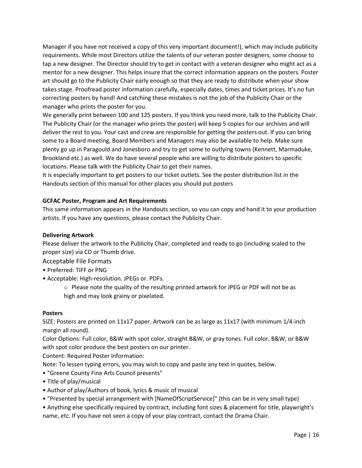Manager if you have not received a copy of this very important document!), which may include publicity requirements. While most Directors utilize the talents of our veteran poster designers, some choose to tap a new designer. The Director should try to get in contact with a veteran designer who might act as a mentor for a new designer. This helps insure that the correct information appears on the posters. Poster art should go to the Publicity Chair early enough so that they are ready to distribute when your show takes stage. Proofread poster information carefully, especially dates, times and ticket prices. It's no fun correcting posters by hand! And catching these mistakes is not the job of the Publicity Chair or the manager who prints the poster for you.

We generally print between 100 and 125 posters. If you think you need more, talk to the Publicity Chair. The Publicity Chair (or the manager who prints the poster) will keep 5 copies for our archives and will deliver the rest to you. Your cast and crew are responsible for getting the posters out. If you can bring some to a Board meeting, Board Members and Managers may also be available to help. Make sure plenty go up in Paragould and Jonesboro and try to get some to outlying towns (Kennett, Marmaduke, Brookland etc.) as well. We do have several people who are willing to distribute posters to specific locations. Please talk with the Publicity Chair to get their names.

It is especially important to get posters to our ticket outlets. See the poster distribution list in the Handouts section of this manual for other places you should put posters

#### **GCFAC Poster, Program and Art Requirements**

This same information appears in the Handouts section, so you can copy and hand it to your production artists. If you have any questions, please contact the Publicity Chair.

#### **Delivering Artwork**

Please deliver the artwork to the Publicity Chair, completed and ready to go (including scaled to the proper size) via CD or Thumb drive.

Acceptable File Formats

- Preferred: TIFF or PNG
- Acceptable: High-resolution. JPEGs or. PDFs.
	- o Please note the quality of the resulting printed artwork for JPEG or PDF will not be as high and may look grainy or pixelated.

#### **Posters**

SIZE: Posters are printed on 11x17 paper. Artwork can be as large as 11x17 (with minimum 1/4-inch margin all round).

Color Options: Full color, B&W with spot color, straight B&W, or gray tones. Full color, B&W, or B&W with spot color produce the best posters on our printer.

Content: Required Poster Information:

Note: To lessen typing errors, you may wish to copy and paste any text in quotes, below.

- "Greene County Fine Arts Council presents"
- Title of play/musical
- Author of play/Authors of book, lyrics & music of musical
- "Presented by special arrangement with [NameOfScriptService]" (this can be in very small type)
- Anything else specifically required by contract, including font sizes & placement for title, playwright's name, etc. If you have not seen a copy of your play contract, contact the Drama Chair.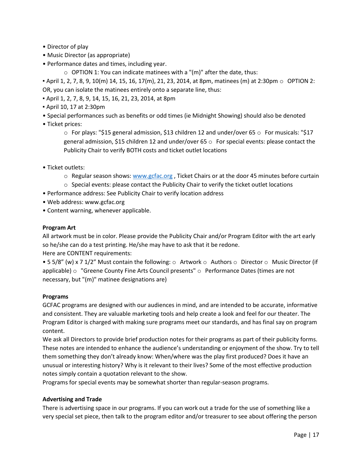- Director of play
- Music Director (as appropriate)
- Performance dates and times, including year.
	- o OPTION 1: You can indicate matinees with a "(m)" after the date, thus:

**•** April 1, 2, 7, 8, 9, 10(m) 14, 15, 16, 17(m), 21, 23, 2014, at 8pm, matinees (m) at 2:30pm  $\circ$  OPTION 2: OR, you can isolate the matinees entirely onto a separate line, thus:

- April 1, 2, 7, 8, 9, 14, 15, 16, 21, 23, 2014, at 8pm
- April 10, 17 at 2:30pm
- Special performances such as benefits or odd times (ie Midnight Showing) should also be denoted
- Ticket prices:

 $\circ$  For plays: "\$15 general admission, \$13 children 12 and under/over 65  $\circ$  For musicals: "\$17 general admission, \$15 children 12 and under/over 65  $\circ$  For special events: please contact the Publicity Chair to verify BOTH costs and ticket outlet locations

- Ticket outlets:
	- $\circ$  Regular season shows[: www.gcfac.org](http://www.gcfac.org/), Ticket Chairs or at the door 45 minutes before curtain
	- $\circ$  Special events: please contact the Publicity Chair to verify the ticket outlet locations
- Performance address: See Publicity Chair to verify location address
- Web address: www.gcfac.org
- Content warning, whenever applicable.

#### **Program Art**

All artwork must be in color. Please provide the Publicity Chair and/or Program Editor with the art early so he/she can do a test printing. He/she may have to ask that it be redone. Here are CONTENT requirements:

• 5 5/8" (w) x 7 1/2" Must contain the following:  $\circ$  Artwork  $\circ$  Authors  $\circ$  Director  $\circ$  Music Director (if applicable)  $\circ$  "Greene County Fine Arts Council presents"  $\circ$  Performance Dates (times are not necessary, but "(m)" matinee designations are)

#### **Programs**

GCFAC programs are designed with our audiences in mind, and are intended to be accurate, informative and consistent. They are valuable marketing tools and help create a look and feel for our theater. The Program Editor is charged with making sure programs meet our standards, and has final say on program content.

We ask all Directors to provide brief production notes for their programs as part of their publicity forms. These notes are intended to enhance the audience's understanding or enjoyment of the show. Try to tell them something they don't already know: When/where was the play first produced? Does it have an unusual or interesting history? Why is it relevant to their lives? Some of the most effective production notes simply contain a quotation relevant to the show.

Programs for special events may be somewhat shorter than regular-season programs.

#### **Advertising and Trade**

There is advertising space in our programs. If you can work out a trade for the use of something like a very special set piece, then talk to the program editor and/or treasurer to see about offering the person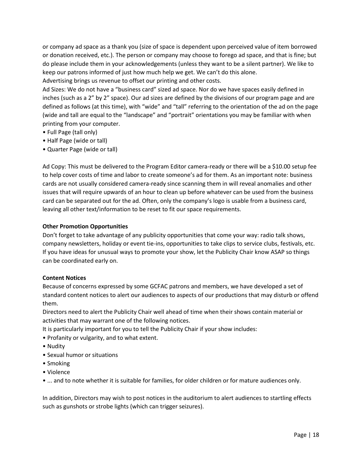or company ad space as a thank you (size of space is dependent upon perceived value of item borrowed or donation received, etc.). The person or company may choose to forego ad space, and that is fine; but do please include them in your acknowledgements (unless they want to be a silent partner). We like to keep our patrons informed of just how much help we get. We can't do this alone.

Advertising brings us revenue to offset our printing and other costs.

Ad Sizes: We do not have a "business card" sized ad space. Nor do we have spaces easily defined in inches (such as a 2" by 2" space). Our ad sizes are defined by the divisions of our program page and are defined as follows (at this time), with "wide" and "tall" referring to the orientation of the ad on the page (wide and tall are equal to the "landscape" and "portrait" orientations you may be familiar with when printing from your computer.

- Full Page (tall only)
- Half Page (wide or tall)
- Quarter Page (wide or tall)

Ad Copy: This must be delivered to the Program Editor camera-ready or there will be a \$10.00 setup fee to help cover costs of time and labor to create someone's ad for them. As an important note: business cards are not usually considered camera-ready since scanning them in will reveal anomalies and other issues that will require upwards of an hour to clean up before whatever can be used from the business card can be separated out for the ad. Often, only the company's logo is usable from a business card, leaving all other text/information to be reset to fit our space requirements.

#### **Other Promotion Opportunities**

Don't forget to take advantage of any publicity opportunities that come your way: radio talk shows, company newsletters, holiday or event tie-ins, opportunities to take clips to service clubs, festivals, etc. If you have ideas for unusual ways to promote your show, let the Publicity Chair know ASAP so things can be coordinated early on.

#### **Content Notices**

Because of concerns expressed by some GCFAC patrons and members, we have developed a set of standard content notices to alert our audiences to aspects of our productions that may disturb or offend them.

Directors need to alert the Publicity Chair well ahead of time when their shows contain material or activities that may warrant one of the following notices.

It is particularly important for you to tell the Publicity Chair if your show includes:

- Profanity or vulgarity, and to what extent.
- Nudity
- Sexual humor or situations
- Smoking
- Violence
- ... and to note whether it is suitable for families, for older children or for mature audiences only.

In addition, Directors may wish to post notices in the auditorium to alert audiences to startling effects such as gunshots or strobe lights (which can trigger seizures).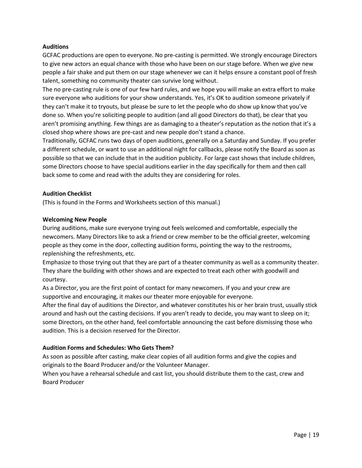#### **Auditions**

GCFAC productions are open to everyone. No pre-casting is permitted. We strongly encourage Directors to give new actors an equal chance with those who have been on our stage before. When we give new people a fair shake and put them on our stage whenever we can it helps ensure a constant pool of fresh talent, something no community theater can survive long without.

The no pre-casting rule is one of our few hard rules, and we hope you will make an extra effort to make sure everyone who auditions for your show understands. Yes, it's OK to audition someone privately if they can't make it to tryouts, but please be sure to let the people who do show up know that you've done so. When you're soliciting people to audition (and all good Directors do that), be clear that you aren't promising anything. Few things are as damaging to a theater's reputation as the notion that it's a closed shop where shows are pre-cast and new people don't stand a chance.

Traditionally, GCFAC runs two days of open auditions, generally on a Saturday and Sunday. If you prefer a different schedule, or want to use an additional night for callbacks, please notify the Board as soon as possible so that we can include that in the audition publicity. For large cast shows that include children, some Directors choose to have special auditions earlier in the day specifically for them and then call back some to come and read with the adults they are considering for roles.

#### **Audition Checklist**

(This is found in the Forms and Worksheets section of this manual.)

#### **Welcoming New People**

During auditions, make sure everyone trying out feels welcomed and comfortable, especially the newcomers. Many Directors like to ask a friend or crew member to be the official greeter, welcoming people as they come in the door, collecting audition forms, pointing the way to the restrooms, replenishing the refreshments, etc.

Emphasize to those trying out that they are part of a theater community as well as a community theater. They share the building with other shows and are expected to treat each other with goodwill and courtesy.

As a Director, you are the first point of contact for many newcomers. If you and your crew are supportive and encouraging, it makes our theater more enjoyable for everyone.

After the final day of auditions the Director, and whatever constitutes his or her brain trust, usually stick around and hash out the casting decisions. If you aren't ready to decide, you may want to sleep on it; some Directors, on the other hand, feel comfortable announcing the cast before dismissing those who audition. This is a decision reserved for the Director.

#### **Audition Forms and Schedules: Who Gets Them?**

As soon as possible after casting, make clear copies of all audition forms and give the copies and originals to the Board Producer and/or the Volunteer Manager.

When you have a rehearsal schedule and cast list, you should distribute them to the cast, crew and Board Producer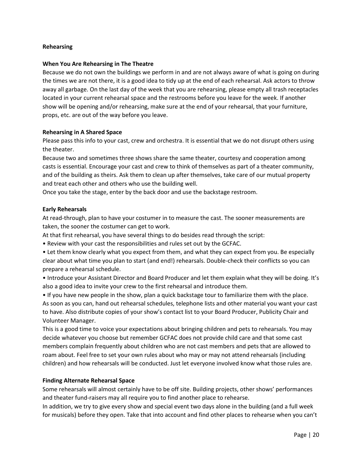#### **Rehearsing**

#### **When You Are Rehearsing in The Theatre**

Because we do not own the buildings we perform in and are not always aware of what is going on during the times we are not there, it is a good idea to tidy up at the end of each rehearsal. Ask actors to throw away all garbage. On the last day of the week that you are rehearsing, please empty all trash receptacles located in your current rehearsal space and the restrooms before you leave for the week. If another show will be opening and/or rehearsing, make sure at the end of your rehearsal, that your furniture, props, etc. are out of the way before you leave.

#### **Rehearsing in A Shared Space**

Please pass this info to your cast, crew and orchestra. It is essential that we do not disrupt others using the theater.

Because two and sometimes three shows share the same theater, courtesy and cooperation among casts is essential. Encourage your cast and crew to think of themselves as part of a theater community, and of the building as theirs. Ask them to clean up after themselves, take care of our mutual property and treat each other and others who use the building well.

Once you take the stage, enter by the back door and use the backstage restroom.

#### **Early Rehearsals**

At read-through, plan to have your costumer in to measure the cast. The sooner measurements are taken, the sooner the costumer can get to work.

At that first rehearsal, you have several things to do besides read through the script:

- Review with your cast the responsibilities and rules set out by the GCFAC.
- Let them know clearly what you expect from them, and what they can expect from you. Be especially clear about what time you plan to start (and end!) rehearsals. Double-check their conflicts so you can prepare a rehearsal schedule.
- Introduce your Assistant Director and Board Producer and let them explain what they will be doing. It's also a good idea to invite your crew to the first rehearsal and introduce them.

• If you have new people in the show, plan a quick backstage tour to familiarize them with the place. As soon as you can, hand out rehearsal schedules, telephone lists and other material you want your cast to have. Also distribute copies of your show's contact list to your Board Producer, Publicity Chair and Volunteer Manager.

This is a good time to voice your expectations about bringing children and pets to rehearsals. You may decide whatever you choose but remember GCFAC does not provide child care and that some cast members complain frequently about children who are not cast members and pets that are allowed to roam about. Feel free to set your own rules about who may or may not attend rehearsals (including children) and how rehearsals will be conducted. Just let everyone involved know what those rules are.

#### **Finding Alternate Rehearsal Space**

Some rehearsals will almost certainly have to be off site. Building projects, other shows' performances and theater fund-raisers may all require you to find another place to rehearse.

In addition, we try to give every show and special event two days alone in the building (and a full week for musicals) before they open. Take that into account and find other places to rehearse when you can't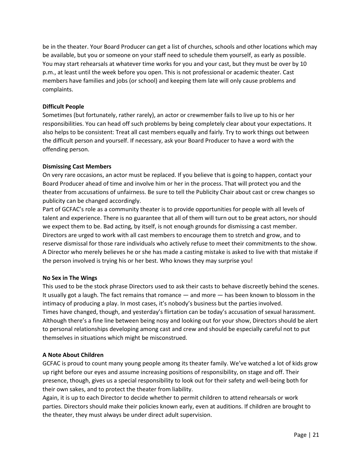be in the theater. Your Board Producer can get a list of churches, schools and other locations which may be available, but you or someone on your staff need to schedule them yourself, as early as possible. You may start rehearsals at whatever time works for you and your cast, but they must be over by 10 p.m., at least until the week before you open. This is not professional or academic theater. Cast members have families and jobs (or school) and keeping them late will only cause problems and complaints.

#### **Difficult People**

Sometimes (but fortunately, rather rarely), an actor or crewmember fails to live up to his or her responsibilities. You can head off such problems by being completely clear about your expectations. It also helps to be consistent: Treat all cast members equally and fairly. Try to work things out between the difficult person and yourself. If necessary, ask your Board Producer to have a word with the offending person.

#### **Dismissing Cast Members**

On very rare occasions, an actor must be replaced. If you believe that is going to happen, contact your Board Producer ahead of time and involve him or her in the process. That will protect you and the theater from accusations of unfairness. Be sure to tell the Publicity Chair about cast or crew changes so publicity can be changed accordingly.

Part of GCFAC's role as a community theater is to provide opportunities for people with all levels of talent and experience. There is no guarantee that all of them will turn out to be great actors, nor should we expect them to be. Bad acting, by itself, is not enough grounds for dismissing a cast member. Directors are urged to work with all cast members to encourage them to stretch and grow, and to reserve dismissal for those rare individuals who actively refuse to meet their commitments to the show. A Director who merely believes he or she has made a casting mistake is asked to live with that mistake if the person involved is trying his or her best. Who knows they may surprise you!

#### **No Sex in The Wings**

This used to be the stock phrase Directors used to ask their casts to behave discreetly behind the scenes. It usually got a laugh. The fact remains that romance — and more — has been known to blossom in the intimacy of producing a play. In most cases, it's nobody's business but the parties involved. Times have changed, though, and yesterday's flirtation can be today's accusation of sexual harassment. Although there's a fine line between being nosy and looking out for your show, Directors should be alert to personal relationships developing among cast and crew and should be especially careful not to put themselves in situations which might be misconstrued.

#### **A Note About Children**

GCFAC is proud to count many young people among its theater family. We've watched a lot of kids grow up right before our eyes and assume increasing positions of responsibility, on stage and off. Their presence, though, gives us a special responsibility to look out for their safety and well-being both for their own sakes, and to protect the theater from liability.

Again, it is up to each Director to decide whether to permit children to attend rehearsals or work parties. Directors should make their policies known early, even at auditions. If children are brought to the theater, they must always be under direct adult supervision.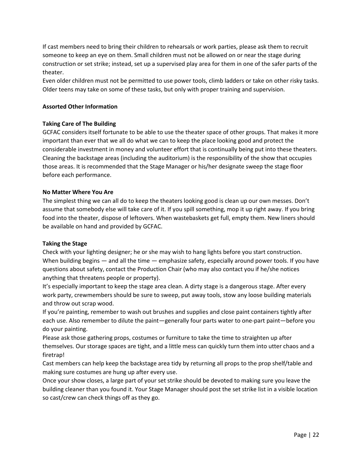If cast members need to bring their children to rehearsals or work parties, please ask them to recruit someone to keep an eye on them. Small children must not be allowed on or near the stage during construction or set strike; instead, set up a supervised play area for them in one of the safer parts of the theater.

Even older children must not be permitted to use power tools, climb ladders or take on other risky tasks. Older teens may take on some of these tasks, but only with proper training and supervision.

#### **Assorted Other Information**

#### **Taking Care of The Building**

GCFAC considers itself fortunate to be able to use the theater space of other groups. That makes it more important than ever that we all do what we can to keep the place looking good and protect the considerable investment in money and volunteer effort that is continually being put into these theaters. Cleaning the backstage areas (including the auditorium) is the responsibility of the show that occupies those areas. It is recommended that the Stage Manager or his/her designate sweep the stage floor before each performance.

#### **No Matter Where You Are**

The simplest thing we can all do to keep the theaters looking good is clean up our own messes. Don't assume that somebody else will take care of it. If you spill something, mop it up right away. If you bring food into the theater, dispose of leftovers. When wastebaskets get full, empty them. New liners should be available on hand and provided by GCFAC.

#### **Taking the Stage**

Check with your lighting designer; he or she may wish to hang lights before you start construction. When building begins — and all the time — emphasize safety, especially around power tools. If you have questions about safety, contact the Production Chair (who may also contact you if he/she notices anything that threatens people or property).

It's especially important to keep the stage area clean. A dirty stage is a dangerous stage. After every work party, crewmembers should be sure to sweep, put away tools, stow any loose building materials and throw out scrap wood.

If you're painting, remember to wash out brushes and supplies and close paint containers tightly after each use. Also remember to dilute the paint—generally four parts water to one-part paint—before you do your painting.

Please ask those gathering props, costumes or furniture to take the time to straighten up after themselves. Our storage spaces are tight, and a little mess can quickly turn them into utter chaos and a firetrap!

Cast members can help keep the backstage area tidy by returning all props to the prop shelf/table and making sure costumes are hung up after every use.

Once your show closes, a large part of your set strike should be devoted to making sure you leave the building cleaner than you found it. Your Stage Manager should post the set strike list in a visible location so cast/crew can check things off as they go.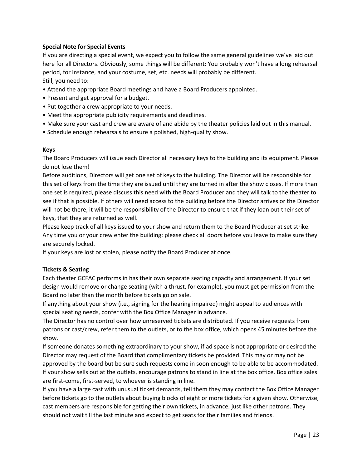#### **Special Note for Special Events**

If you are directing a special event, we expect you to follow the same general guidelines we've laid out here for all Directors. Obviously, some things will be different: You probably won't have a long rehearsal period, for instance, and your costume, set, etc. needs will probably be different. Still, you need to:

- Attend the appropriate Board meetings and have a Board Producers appointed.
- Present and get approval for a budget.
- Put together a crew appropriate to your needs.
- Meet the appropriate publicity requirements and deadlines.
- Make sure your cast and crew are aware of and abide by the theater policies laid out in this manual.
- Schedule enough rehearsals to ensure a polished, high-quality show.

#### **Keys**

The Board Producers will issue each Director all necessary keys to the building and its equipment. Please do not lose them!

Before auditions, Directors will get one set of keys to the building. The Director will be responsible for this set of keys from the time they are issued until they are turned in after the show closes. If more than one set is required, please discuss this need with the Board Producer and they will talk to the theater to see if that is possible. If others will need access to the building before the Director arrives or the Director will not be there, it will be the responsibility of the Director to ensure that if they loan out their set of keys, that they are returned as well.

Please keep track of all keys issued to your show and return them to the Board Producer at set strike. Any time you or your crew enter the building; please check all doors before you leave to make sure they are securely locked.

If your keys are lost or stolen, please notify the Board Producer at once.

#### **Tickets & Seating**

Each theater GCFAC performs in has their own separate seating capacity and arrangement. If your set design would remove or change seating (with a thrust, for example), you must get permission from the Board no later than the month before tickets go on sale.

If anything about your show (i.e., signing for the hearing impaired) might appeal to audiences with special seating needs, confer with the Box Office Manager in advance.

The Director has no control over how unreserved tickets are distributed. If you receive requests from patrons or cast/crew, refer them to the outlets, or to the box office, which opens 45 minutes before the show.

If someone donates something extraordinary to your show, if ad space is not appropriate or desired the Director may request of the Board that complimentary tickets be provided. This may or may not be approved by the board but be sure such requests come in soon enough to be able to be accommodated. If your show sells out at the outlets, encourage patrons to stand in line at the box office. Box office sales are first-come, first-served, to whoever is standing in line.

If you have a large cast with unusual ticket demands, tell them they may contact the Box Office Manager before tickets go to the outlets about buying blocks of eight or more tickets for a given show. Otherwise, cast members are responsible for getting their own tickets, in advance, just like other patrons. They should not wait till the last minute and expect to get seats for their families and friends.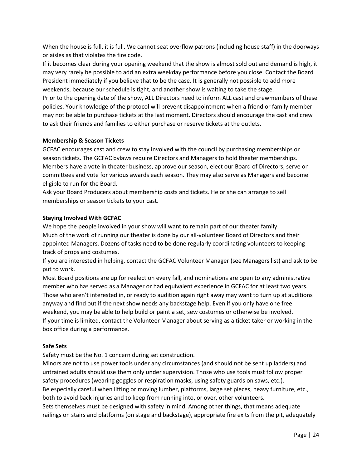When the house is full, it is full. We cannot seat overflow patrons (including house staff) in the doorways or aisles as that violates the fire code.

If it becomes clear during your opening weekend that the show is almost sold out and demand is high, it may very rarely be possible to add an extra weekday performance before you close. Contact the Board President immediately if you believe that to be the case. It is generally not possible to add more weekends, because our schedule is tight, and another show is waiting to take the stage. Prior to the opening date of the show, ALL Directors need to inform ALL cast and crewmembers of these policies. Your knowledge of the protocol will prevent disappointment when a friend or family member may not be able to purchase tickets at the last moment. Directors should encourage the cast and crew to ask their friends and families to either purchase or reserve tickets at the outlets.

#### **Membership & Season Tickets**

GCFAC encourages cast and crew to stay involved with the council by purchasing memberships or season tickets. The GCFAC bylaws require Directors and Managers to hold theater memberships. Members have a vote in theater business, approve our season, elect our Board of Directors, serve on committees and vote for various awards each season. They may also serve as Managers and become eligible to run for the Board.

Ask your Board Producers about membership costs and tickets. He or she can arrange to sell memberships or season tickets to your cast.

#### **Staying Involved With GCFAC**

We hope the people involved in your show will want to remain part of our theater family. Much of the work of running our theater is done by our all-volunteer Board of Directors and their appointed Managers. Dozens of tasks need to be done regularly coordinating volunteers to keeping track of props and costumes.

If you are interested in helping, contact the GCFAC Volunteer Manager (see Managers list) and ask to be put to work.

Most Board positions are up for reelection every fall, and nominations are open to any administrative member who has served as a Manager or had equivalent experience in GCFAC for at least two years. Those who aren't interested in, or ready to audition again right away may want to turn up at auditions anyway and find out if the next show needs any backstage help. Even if you only have one free weekend, you may be able to help build or paint a set, sew costumes or otherwise be involved. If your time is limited, contact the Volunteer Manager about serving as a ticket taker or working in the box office during a performance.

#### **Safe Sets**

Safety must be the No. 1 concern during set construction.

Minors are not to use power tools under any circumstances (and should not be sent up ladders) and untrained adults should use them only under supervision. Those who use tools must follow proper safety procedures (wearing goggles or respiration masks, using safety guards on saws, etc.). Be especially careful when lifting or moving lumber, platforms, large set pieces, heavy furniture, etc., both to avoid back injuries and to keep from running into, or over, other volunteers. Sets themselves must be designed with safety in mind. Among other things, that means adequate railings on stairs and platforms (on stage and backstage), appropriate fire exits from the pit, adequately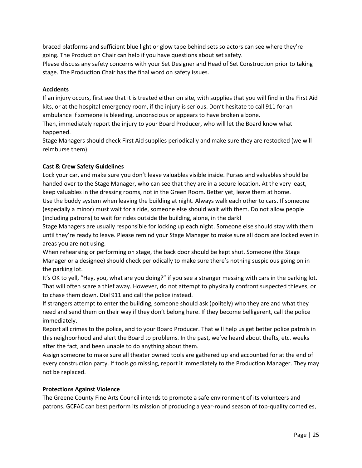braced platforms and sufficient blue light or glow tape behind sets so actors can see where they're going. The Production Chair can help if you have questions about set safety.

Please discuss any safety concerns with your Set Designer and Head of Set Construction prior to taking stage. The Production Chair has the final word on safety issues.

#### **Accidents**

If an injury occurs, first see that it is treated either on site, with supplies that you will find in the First Aid kits, or at the hospital emergency room, if the injury is serious. Don't hesitate to call 911 for an ambulance if someone is bleeding, unconscious or appears to have broken a bone.

Then, immediately report the injury to your Board Producer, who will let the Board know what happened.

Stage Managers should check First Aid supplies periodically and make sure they are restocked (we will reimburse them).

#### **Cast & Crew Safety Guidelines**

Lock your car, and make sure you don't leave valuables visible inside. Purses and valuables should be handed over to the Stage Manager, who can see that they are in a secure location. At the very least, keep valuables in the dressing rooms, not in the Green Room. Better yet, leave them at home. Use the buddy system when leaving the building at night. Always walk each other to cars. If someone (especially a minor) must wait for a ride, someone else should wait with them. Do not allow people (including patrons) to wait for rides outside the building, alone, in the dark!

Stage Managers are usually responsible for locking up each night. Someone else should stay with them until they're ready to leave. Please remind your Stage Manager to make sure all doors are locked even in areas you are not using.

When rehearsing or performing on stage, the back door should be kept shut. Someone (the Stage Manager or a designee) should check periodically to make sure there's nothing suspicious going on in the parking lot.

It's OK to yell, "Hey, you, what are you doing?" if you see a stranger messing with cars in the parking lot. That will often scare a thief away. However, do not attempt to physically confront suspected thieves, or to chase them down. Dial 911 and call the police instead.

If strangers attempt to enter the building, someone should ask (politely) who they are and what they need and send them on their way if they don't belong here. If they become belligerent, call the police immediately.

Report all crimes to the police, and to your Board Producer. That will help us get better police patrols in this neighborhood and alert the Board to problems. In the past, we've heard about thefts, etc. weeks after the fact, and been unable to do anything about them.

Assign someone to make sure all theater owned tools are gathered up and accounted for at the end of every construction party. If tools go missing, report it immediately to the Production Manager. They may not be replaced.

#### **Protections Against Violence**

The Greene County Fine Arts Council intends to promote a safe environment of its volunteers and patrons. GCFAC can best perform its mission of producing a year-round season of top-quality comedies,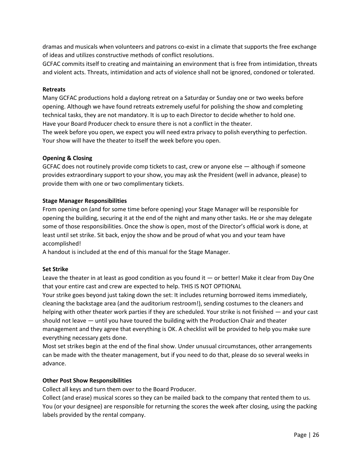dramas and musicals when volunteers and patrons co-exist in a climate that supports the free exchange of ideas and utilizes constructive methods of conflict resolutions.

GCFAC commits itself to creating and maintaining an environment that is free from intimidation, threats and violent acts. Threats, intimidation and acts of violence shall not be ignored, condoned or tolerated.

#### **Retreats**

Many GCFAC productions hold a daylong retreat on a Saturday or Sunday one or two weeks before opening. Although we have found retreats extremely useful for polishing the show and completing technical tasks, they are not mandatory. It is up to each Director to decide whether to hold one. Have your Board Producer check to ensure there is not a conflict in the theater.

The week before you open, we expect you will need extra privacy to polish everything to perfection. Your show will have the theater to itself the week before you open.

#### **Opening & Closing**

GCFAC does not routinely provide comp tickets to cast, crew or anyone else — although if someone provides extraordinary support to your show, you may ask the President (well in advance, please) to provide them with one or two complimentary tickets.

#### **Stage Manager Responsibilities**

From opening on (and for some time before opening) your Stage Manager will be responsible for opening the building, securing it at the end of the night and many other tasks. He or she may delegate some of those responsibilities. Once the show is open, most of the Director's official work is done, at least until set strike. Sit back, enjoy the show and be proud of what you and your team have accomplished!

A handout is included at the end of this manual for the Stage Manager.

#### **Set Strike**

Leave the theater in at least as good condition as you found it — or better! Make it clear from Day One that your entire cast and crew are expected to help. THIS IS NOT OPTIONAL

Your strike goes beyond just taking down the set: It includes returning borrowed items immediately, cleaning the backstage area (and the auditorium restroom!), sending costumes to the cleaners and helping with other theater work parties if they are scheduled. Your strike is not finished — and your cast should not leave — until you have toured the building with the Production Chair and theater management and they agree that everything is OK. A checklist will be provided to help you make sure everything necessary gets done.

Most set strikes begin at the end of the final show. Under unusual circumstances, other arrangements can be made with the theater management, but if you need to do that, please do so several weeks in advance.

#### **Other Post Show Responsibilities**

Collect all keys and turn them over to the Board Producer.

Collect (and erase) musical scores so they can be mailed back to the company that rented them to us. You (or your designee) are responsible for returning the scores the week after closing, using the packing labels provided by the rental company.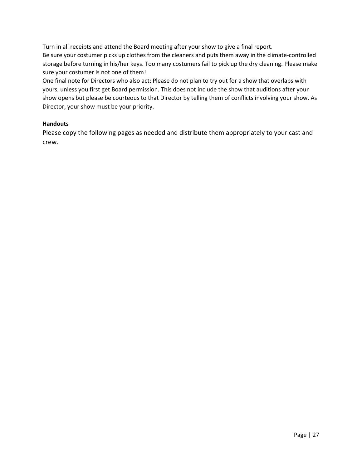Turn in all receipts and attend the Board meeting after your show to give a final report. Be sure your costumer picks up clothes from the cleaners and puts them away in the climate-controlled storage before turning in his/her keys. Too many costumers fail to pick up the dry cleaning. Please make sure your costumer is not one of them!

One final note for Directors who also act: Please do not plan to try out for a show that overlaps with yours, unless you first get Board permission. This does not include the show that auditions after your show opens but please be courteous to that Director by telling them of conflicts involving your show. As Director, your show must be your priority.

#### **Handouts**

Please copy the following pages as needed and distribute them appropriately to your cast and crew.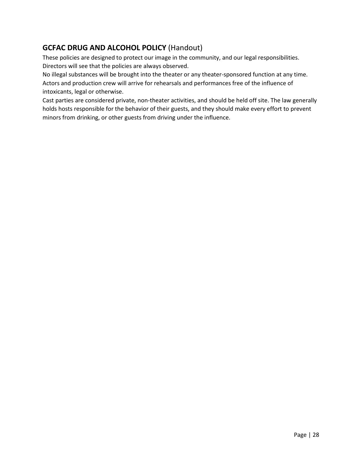### **GCFAC DRUG AND ALCOHOL POLICY** (Handout)

These policies are designed to protect our image in the community, and our legal responsibilities. Directors will see that the policies are always observed.

No illegal substances will be brought into the theater or any theater-sponsored function at any time. Actors and production crew will arrive for rehearsals and performances free of the influence of intoxicants, legal or otherwise.

Cast parties are considered private, non-theater activities, and should be held off site. The law generally holds hosts responsible for the behavior of their guests, and they should make every effort to prevent minors from drinking, or other guests from driving under the influence.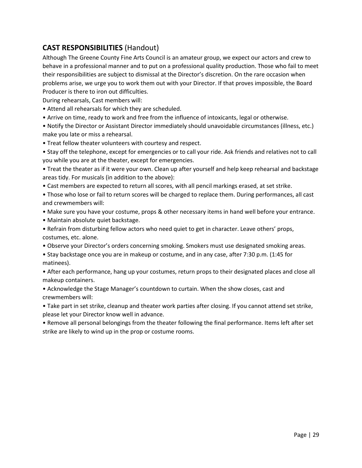### **CAST RESPONSIBILITIES** (Handout)

Although The Greene County Fine Arts Council is an amateur group, we expect our actors and crew to behave in a professional manner and to put on a professional quality production. Those who fail to meet their responsibilities are subject to dismissal at the Director's discretion. On the rare occasion when problems arise, we urge you to work them out with your Director. If that proves impossible, the Board Producer is there to iron out difficulties.

During rehearsals, Cast members will:

- Attend all rehearsals for which they are scheduled.
- Arrive on time, ready to work and free from the influence of intoxicants, legal or otherwise.

• Notify the Director or Assistant Director immediately should unavoidable circumstances (illness, etc.) make you late or miss a rehearsal.

• Treat fellow theater volunteers with courtesy and respect.

• Stay off the telephone, except for emergencies or to call your ride. Ask friends and relatives not to call you while you are at the theater, except for emergencies.

• Treat the theater as if it were your own. Clean up after yourself and help keep rehearsal and backstage areas tidy. For musicals (in addition to the above):

• Cast members are expected to return all scores, with all pencil markings erased, at set strike.

• Those who lose or fail to return scores will be charged to replace them. During performances, all cast and crewmembers will:

• Make sure you have your costume, props & other necessary items in hand well before your entrance.

- Maintain absolute quiet backstage.
- Refrain from disturbing fellow actors who need quiet to get in character. Leave others' props, costumes, etc. alone.
- Observe your Director's orders concerning smoking. Smokers must use designated smoking areas.
- Stay backstage once you are in makeup or costume, and in any case, after 7:30 p.m. (1:45 for matinees).

• After each performance, hang up your costumes, return props to their designated places and close all makeup containers.

• Acknowledge the Stage Manager's countdown to curtain. When the show closes, cast and crewmembers will:

• Take part in set strike, cleanup and theater work parties after closing. If you cannot attend set strike, please let your Director know well in advance.

• Remove all personal belongings from the theater following the final performance. Items left after set strike are likely to wind up in the prop or costume rooms.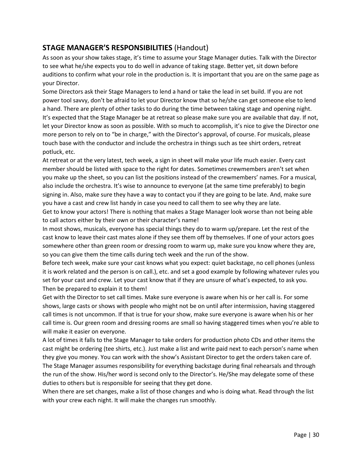### **STAGE MANAGER'S RESPONSIBILITIES** (Handout)

As soon as your show takes stage, it's time to assume your Stage Manager duties. Talk with the Director to see what he/she expects you to do well in advance of taking stage. Better yet, sit down before auditions to confirm what your role in the production is. It is important that you are on the same page as your Director.

Some Directors ask their Stage Managers to lend a hand or take the lead in set build. If you are not power tool savvy, don't be afraid to let your Director know that so he/she can get someone else to lend a hand. There are plenty of other tasks to do during the time between taking stage and opening night. It's expected that the Stage Manager be at retreat so please make sure you are available that day. If not, let your Director know as soon as possible. With so much to accomplish, it's nice to give the Director one more person to rely on to "be in charge," with the Director's approval, of course. For musicals, please touch base with the conductor and include the orchestra in things such as tee shirt orders, retreat potluck, etc.

At retreat or at the very latest, tech week, a sign in sheet will make your life much easier. Every cast member should be listed with space to the right for dates. Sometimes crewmembers aren't set when you make up the sheet, so you can list the positions instead of the crewmembers' names. For a musical, also include the orchestra. It's wise to announce to everyone (at the same time preferably) to begin signing in. Also, make sure they have a way to contact you if they are going to be late. And, make sure you have a cast and crew list handy in case you need to call them to see why they are late.

Get to know your actors! There is nothing that makes a Stage Manager look worse than not being able to call actors either by their own or their character's name!

In most shows, musicals, everyone has special things they do to warm up/prepare. Let the rest of the cast know to leave their cast mates alone if they see them off by themselves. If one of your actors goes somewhere other than green room or dressing room to warm up, make sure you know where they are, so you can give them the time calls during tech week and the run of the show.

Before tech week, make sure your cast knows what you expect: quiet backstage, no cell phones (unless it is work related and the person is on call.), etc. and set a good example by following whatever rules you set for your cast and crew. Let your cast know that if they are unsure of what's expected, to ask you. Then be prepared to explain it to them!

Get with the Director to set call times. Make sure everyone is aware when his or her call is. For some shows, large casts or shows with people who might not be on until after intermission, having staggered call times is not uncommon. If that is true for your show, make sure everyone is aware when his or her call time is. Our green room and dressing rooms are small so having staggered times when you're able to will make it easier on everyone.

A lot of times it falls to the Stage Manager to take orders for production photo CDs and other items the cast might be ordering (tee shirts, etc.). Just make a list and write paid next to each person's name when they give you money. You can work with the show's Assistant Director to get the orders taken care of. The Stage Manager assumes responsibility for everything backstage during final rehearsals and through the run of the show. His/her word is second only to the Director's. He/She may delegate some of these duties to others but is responsible for seeing that they get done.

When there are set changes, make a list of those changes and who is doing what. Read through the list with your crew each night. It will make the changes run smoothly.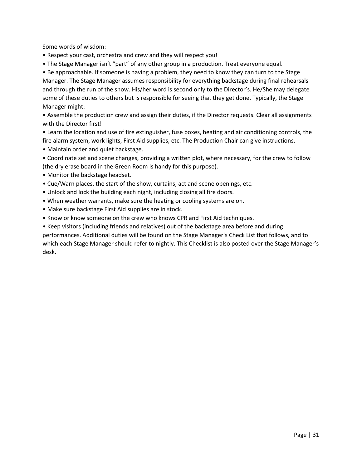Some words of wisdom:

- Respect your cast, orchestra and crew and they will respect you!
- The Stage Manager isn't "part" of any other group in a production. Treat everyone equal.

• Be approachable. If someone is having a problem, they need to know they can turn to the Stage Manager. The Stage Manager assumes responsibility for everything backstage during final rehearsals and through the run of the show. His/her word is second only to the Director's. He/She may delegate some of these duties to others but is responsible for seeing that they get done. Typically, the Stage Manager might:

• Assemble the production crew and assign their duties, if the Director requests. Clear all assignments with the Director first!

• Learn the location and use of fire extinguisher, fuse boxes, heating and air conditioning controls, the fire alarm system, work lights, First Aid supplies, etc. The Production Chair can give instructions.

• Maintain order and quiet backstage.

• Coordinate set and scene changes, providing a written plot, where necessary, for the crew to follow (the dry erase board in the Green Room is handy for this purpose).

- Monitor the backstage headset.
- Cue/Warn places, the start of the show, curtains, act and scene openings, etc.
- Unlock and lock the building each night, including closing all fire doors.
- When weather warrants, make sure the heating or cooling systems are on.
- Make sure backstage First Aid supplies are in stock.
- Know or know someone on the crew who knows CPR and First Aid techniques.

• Keep visitors (including friends and relatives) out of the backstage area before and during performances. Additional duties will be found on the Stage Manager's Check List that follows, and to which each Stage Manager should refer to nightly. This Checklist is also posted over the Stage Manager's desk.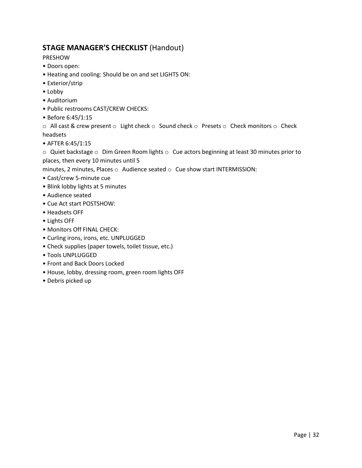### **STAGE MANAGER'S CHECKLIST** (Handout)

PRESHOW

- Doors open:
- Heating and cooling: Should be on and set LIGHTS ON:
- Exterior/strip
- Lobby
- Auditorium
- Public restrooms CAST/CREW CHECKS:
- Before 6:45/1:15

 $\circ$  All cast & crew present  $\circ$  Light check  $\circ$  Sound check  $\circ$  Presets  $\circ$  Check monitors  $\circ$  Check headsets

• AFTER 6:45/1:15

 $\circ$  Quiet backstage  $\circ$  Dim Green Room lights  $\circ$  Cue actors beginning at least 30 minutes prior to places, then every 10 minutes until 5

minutes, 2 minutes, Places o Audience seated o Cue show start INTERMISSION:

- Cast/crew 5-minute cue
- Blink lobby lights at 5 minutes
- Audience seated
- Cue Act start POSTSHOW:
- Headsets OFF
- Lights OFF
- Monitors Off FINAL CHECK:
- Curling irons, irons, etc. UNPLUGGED
- Check supplies (paper towels, toilet tissue, etc.)
- Tools UNPLUGGED
- Front and Back Doors Locked
- House, lobby, dressing room, green room lights OFF
- Debris picked up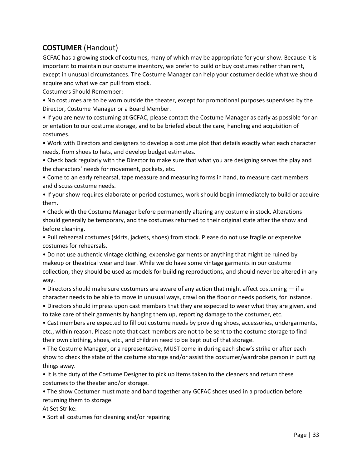### **COSTUMER** (Handout)

GCFAC has a growing stock of costumes, many of which may be appropriate for your show. Because it is important to maintain our costume inventory, we prefer to build or buy costumes rather than rent, except in unusual circumstances. The Costume Manager can help your costumer decide what we should acquire and what we can pull from stock.

Costumers Should Remember:

• No costumes are to be worn outside the theater, except for promotional purposes supervised by the Director, Costume Manager or a Board Member.

• If you are new to costuming at GCFAC, please contact the Costume Manager as early as possible for an orientation to our costume storage, and to be briefed about the care, handling and acquisition of costumes.

• Work with Directors and designers to develop a costume plot that details exactly what each character needs, from shoes to hats, and develop budget estimates.

• Check back regularly with the Director to make sure that what you are designing serves the play and the characters' needs for movement, pockets, etc.

• Come to an early rehearsal, tape measure and measuring forms in hand, to measure cast members and discuss costume needs.

• If your show requires elaborate or period costumes, work should begin immediately to build or acquire them.

• Check with the Costume Manager before permanently altering any costume in stock. Alterations should generally be temporary, and the costumes returned to their original state after the show and before cleaning.

• Pull rehearsal costumes (skirts, jackets, shoes) from stock. Please do not use fragile or expensive costumes for rehearsals.

• Do not use authentic vintage clothing, expensive garments or anything that might be ruined by makeup or theatrical wear and tear. While we do have some vintage garments in our costume collection, they should be used as models for building reproductions, and should never be altered in any way.

• Directors should make sure costumers are aware of any action that might affect costuming — if a character needs to be able to move in unusual ways, crawl on the floor or needs pockets, for instance.

• Directors should impress upon cast members that they are expected to wear what they are given, and to take care of their garments by hanging them up, reporting damage to the costumer, etc.

• Cast members are expected to fill out costume needs by providing shoes, accessories, undergarments, etc., within reason. Please note that cast members are not to be sent to the costume storage to find their own clothing, shoes, etc., and children need to be kept out of that storage.

• The Costume Manager, or a representative, MUST come in during each show's strike or after each show to check the state of the costume storage and/or assist the costumer/wardrobe person in putting things away.

• It is the duty of the Costume Designer to pick up items taken to the cleaners and return these costumes to the theater and/or storage.

• The show Costumer must mate and band together any GCFAC shoes used in a production before returning them to storage.

At Set Strike:

• Sort all costumes for cleaning and/or repairing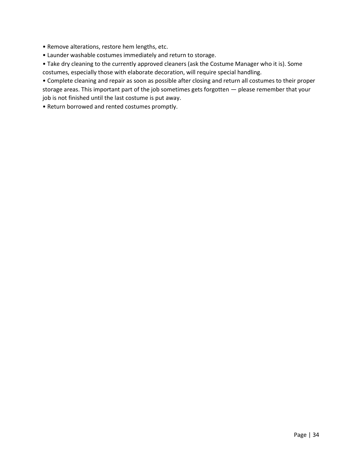- Remove alterations, restore hem lengths, etc.
- Launder washable costumes immediately and return to storage.
- Take dry cleaning to the currently approved cleaners (ask the Costume Manager who it is). Some costumes, especially those with elaborate decoration, will require special handling.

• Complete cleaning and repair as soon as possible after closing and return all costumes to their proper storage areas. This important part of the job sometimes gets forgotten — please remember that your job is not finished until the last costume is put away.

• Return borrowed and rented costumes promptly.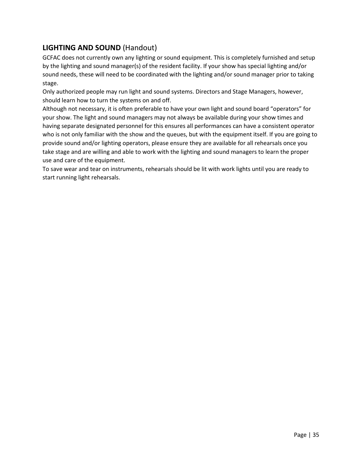### **LIGHTING AND SOUND** (Handout)

GCFAC does not currently own any lighting or sound equipment. This is completely furnished and setup by the lighting and sound manager(s) of the resident facility. If your show has special lighting and/or sound needs, these will need to be coordinated with the lighting and/or sound manager prior to taking stage.

Only authorized people may run light and sound systems. Directors and Stage Managers, however, should learn how to turn the systems on and off.

Although not necessary, it is often preferable to have your own light and sound board "operators" for your show. The light and sound managers may not always be available during your show times and having separate designated personnel for this ensures all performances can have a consistent operator who is not only familiar with the show and the queues, but with the equipment itself. If you are going to provide sound and/or lighting operators, please ensure they are available for all rehearsals once you take stage and are willing and able to work with the lighting and sound managers to learn the proper use and care of the equipment.

To save wear and tear on instruments, rehearsals should be lit with work lights until you are ready to start running light rehearsals.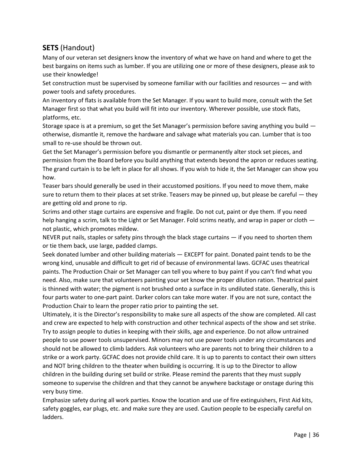### **SETS** (Handout)

Many of our veteran set designers know the inventory of what we have on hand and where to get the best bargains on items such as lumber. If you are utilizing one or more of these designers, please ask to use their knowledge!

Set construction must be supervised by someone familiar with our facilities and resources — and with power tools and safety procedures.

An inventory of flats is available from the Set Manager. If you want to build more, consult with the Set Manager first so that what you build will fit into our inventory. Wherever possible, use stock flats, platforms, etc.

Storage space is at a premium, so get the Set Manager's permission before saving anything you build otherwise, dismantle it, remove the hardware and salvage what materials you can. Lumber that is too small to re-use should be thrown out.

Get the Set Manager's permission before you dismantle or permanently alter stock set pieces, and permission from the Board before you build anything that extends beyond the apron or reduces seating. The grand curtain is to be left in place for all shows. If you wish to hide it, the Set Manager can show you how.

Teaser bars should generally be used in their accustomed positions. If you need to move them, make sure to return them to their places at set strike. Teasers may be pinned up, but please be careful — they are getting old and prone to rip.

Scrims and other stage curtains are expensive and fragile. Do not cut, paint or dye them. If you need help hanging a scrim, talk to the Light or Set Manager. Fold scrims neatly, and wrap in paper or cloth not plastic, which promotes mildew.

NEVER put nails, staples or safety pins through the black stage curtains — if you need to shorten them or tie them back, use large, padded clamps.

Seek donated lumber and other building materials — EXCEPT for paint. Donated paint tends to be the wrong kind, unusable and difficult to get rid of because of environmental laws. GCFAC uses theatrical paints. The Production Chair or Set Manager can tell you where to buy paint if you can't find what you need. Also, make sure that volunteers painting your set know the proper dilution ration. Theatrical paint is thinned with water; the pigment is not brushed onto a surface in its undiluted state. Generally, this is four parts water to one-part paint. Darker colors can take more water. If you are not sure, contact the Production Chair to learn the proper ratio prior to painting the set.

Ultimately, it is the Director's responsibility to make sure all aspects of the show are completed. All cast and crew are expected to help with construction and other technical aspects of the show and set strike. Try to assign people to duties in keeping with their skills, age and experience. Do not allow untrained people to use power tools unsupervised. Minors may not use power tools under any circumstances and should not be allowed to climb ladders. Ask volunteers who are parents not to bring their children to a strike or a work party. GCFAC does not provide child care. It is up to parents to contact their own sitters and NOT bring children to the theater when building is occurring. It is up to the Director to allow children in the building during set build or strike. Please remind the parents that they must supply someone to supervise the children and that they cannot be anywhere backstage or onstage during this very busy time.

Emphasize safety during all work parties. Know the location and use of fire extinguishers, First Aid kits, safety goggles, ear plugs, etc. and make sure they are used. Caution people to be especially careful on ladders.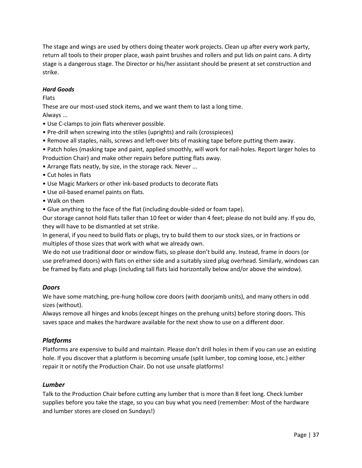The stage and wings are used by others doing theater work projects. Clean up after every work party, return all tools to their proper place, wash paint brushes and rollers and put lids on paint cans. A dirty stage is a dangerous stage. The Director or his/her assistant should be present at set construction and strike.

#### *Hard Goods*

Flats

These are our most-used stock items, and we want them to last a long time.

Always ...

- Use C-clamps to join flats wherever possible.
- Pre-drill when screwing into the stiles (uprights) and rails (crosspieces)
- Remove all staples, nails, screws and left-over bits of masking tape before putting them away.
- Patch holes (masking tape and paint, applied smoothly, will work for nail-holes. Report larger holes to Production Chair) and make other repairs before putting flats away.
- Arrange flats neatly, by size, in the storage rack. Never ...
- Cut holes in flats
- Use Magic Markers or other ink-based products to decorate flats
- Use oil-based enamel paints on flats.
- Walk on them
- Glue anything to the face of the flat (including double-sided or foam tape).

Our storage cannot hold flats taller than 10 feet or wider than 4 feet; please do not build any. If you do, they will have to be dismantled at set strike.

In general, if you need to build flats or plugs, try to build them to our stock sizes, or in fractions or multiples of those sizes that work with what we already own.

We do not use traditional door or window flats, so please don't build any. Instead, frame in doors (or use preframed doors) with flats on either side and a suitably sized plug overhead. Similarly, windows can be framed by flats and plugs (including tall flats laid horizontally below and/or above the window).

#### *Doors*

We have some matching, pre-hung hollow core doors (with doorjamb units), and many others in odd sizes (without).

Always remove all hinges and knobs (except hinges on the prehung units) before storing doors. This saves space and makes the hardware available for the next show to use on a different door.

#### *Platforms*

Platforms are expensive to build and maintain. Please don't drill holes in them if you can use an existing hole. If you discover that a platform is becoming unsafe (split lumber, top coming loose, etc.) either repair it or notify the Production Chair. Do not use unsafe platforms!

#### *Lumber*

Talk to the Production Chair before cutting any lumber that is more than 8 feet long. Check lumber supplies before you take the stage, so you can buy what you need (remember: Most of the hardware and lumber stores are closed on Sundays!)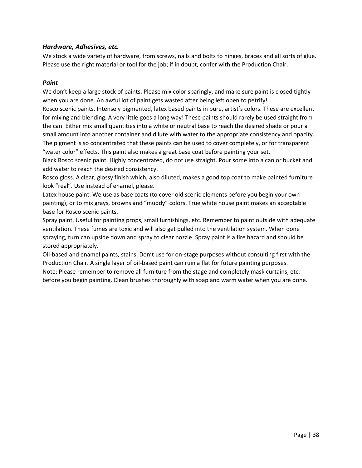#### *Hardware, Adhesives, etc.*

We stock a wide variety of hardware, from screws, nails and bolts to hinges, braces and all sorts of glue. Please use the right material or tool for the job; if in doubt, confer with the Production Chair.

#### *Paint*

We don't keep a large stock of paints. Please mix color sparingly, and make sure paint is closed tightly when you are done. An awful lot of paint gets wasted after being left open to petrify! Rosco scenic paints. Intensely pigmented, latex based paints in pure, artist's colors. These are excellent for mixing and blending. A very little goes a long way! These paints should rarely be used straight from the can. Either mix small quantities into a white or neutral base to reach the desired shade or pour a small amount into another container and dilute with water to the appropriate consistency and opacity. The pigment is so concentrated that these paints can be used to cover completely, or for transparent "water color" effects. This paint also makes a great base coat before painting your set.

Black Rosco scenic paint. Highly concentrated, do not use straight. Pour some into a can or bucket and add water to reach the desired consistency.

Rosco gloss. A clear, glossy finish which, also diluted, makes a good top coat to make painted furniture look "real". Use instead of enamel, please.

Latex house paint. We use as base coats (to cover old scenic elements before you begin your own painting), or to mix grays, browns and "muddy" colors. True white house paint makes an acceptable base for Rosco scenic paints.

Spray paint. Useful for painting props, small furnishings, etc. Remember to paint outside with adequate ventilation. These fumes are toxic and will also get pulled into the ventilation system. When done spraying, turn can upside down and spray to clear nozzle. Spray paint is a fire hazard and should be stored appropriately.

Oil-based and enamel paints, stains. Don't use for on-stage purposes without consulting first with the Production Chair. A single layer of oil-based paint can ruin a flat for future painting purposes. Note: Please remember to remove all furniture from the stage and completely mask curtains, etc. before you begin painting. Clean brushes thoroughly with soap and warm water when you are done.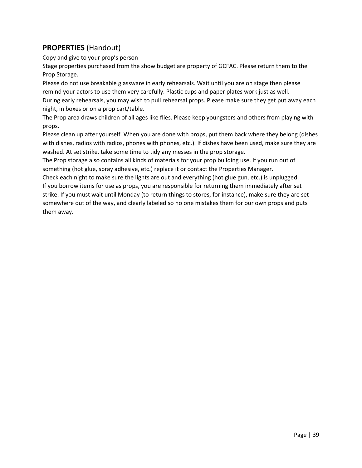### **PROPERTIES** (Handout)

Copy and give to your prop's person

Stage properties purchased from the show budget are property of GCFAC. Please return them to the Prop Storage.

Please do not use breakable glassware in early rehearsals. Wait until you are on stage then please remind your actors to use them very carefully. Plastic cups and paper plates work just as well. During early rehearsals, you may wish to pull rehearsal props. Please make sure they get put away each night, in boxes or on a prop cart/table.

The Prop area draws children of all ages like flies. Please keep youngsters and others from playing with props.

Please clean up after yourself. When you are done with props, put them back where they belong (dishes with dishes, radios with radios, phones with phones, etc.). If dishes have been used, make sure they are washed. At set strike, take some time to tidy any messes in the prop storage.

The Prop storage also contains all kinds of materials for your prop building use. If you run out of something (hot glue, spray adhesive, etc.) replace it or contact the Properties Manager.

Check each night to make sure the lights are out and everything (hot glue gun, etc.) is unplugged. If you borrow items for use as props, you are responsible for returning them immediately after set strike. If you must wait until Monday (to return things to stores, for instance), make sure they are set somewhere out of the way, and clearly labeled so no one mistakes them for our own props and puts them away.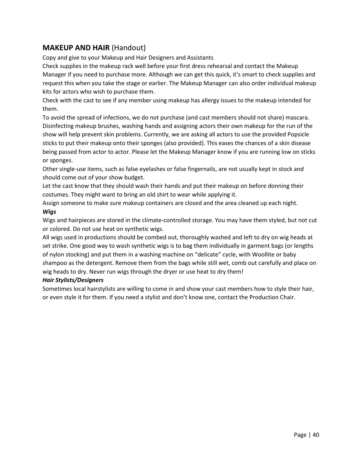### **MAKEUP AND HAIR** (Handout)

Copy and give to your Makeup and Hair Designers and Assistants

Check supplies in the makeup rack well before your first dress rehearsal and contact the Makeup Manager if you need to purchase more. Although we can get this quick, it's smart to check supplies and request this when you take the stage or earlier. The Makeup Manager can also order individual makeup kits for actors who wish to purchase them.

Check with the cast to see if any member using makeup has allergy issues to the makeup intended for them.

To avoid the spread of infections, we do not purchase (and cast members should not share) mascara. Disinfecting makeup brushes, washing hands and assigning actors their own makeup for the run of the show will help prevent skin problems. Currently, we are asking all actors to use the provided Popsicle sticks to put their makeup onto their sponges (also provided). This eases the chances of a skin disease being passed from actor to actor. Please let the Makeup Manager know if you are running low on sticks or sponges.

Other single-use items, such as false eyelashes or false fingernails, are not usually kept in stock and should come out of your show budget.

Let the cast know that they should wash their hands and put their makeup on before donning their costumes. They might want to bring an old shirt to wear while applying it.

Assign someone to make sure makeup containers are closed and the area cleaned up each night. *Wigs* 

Wigs and hairpieces are stored in the climate-controlled storage. You may have them styled, but not cut or colored. Do not use heat on synthetic wigs.

All wigs used in productions should be combed out, thoroughly washed and left to dry on wig heads at set strike. One good way to wash synthetic wigs is to bag them individually in garment bags (or lengths of nylon stocking) and put them in a washing machine on "delicate" cycle, with Woollite or baby shampoo as the detergent. Remove them from the bags while still wet, comb out carefully and place on wig heads to dry. Never run wigs through the dryer or use heat to dry them!

#### *Hair Stylists/Designers*

Sometimes local hairstylists are willing to come in and show your cast members how to style their hair, or even style it for them. If you need a stylist and don't know one, contact the Production Chair.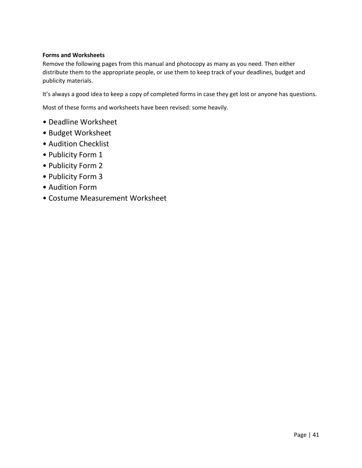#### **Forms and Worksheets**

Remove the following pages from this manual and photocopy as many as you need. Then either distribute them to the appropriate people, or use them to keep track of your deadlines, budget and publicity materials.

It's always a good idea to keep a copy of completed forms in case they get lost or anyone has questions.

Most of these forms and worksheets have been revised: some heavily.

- Deadline Worksheet
- Budget Worksheet
- Audition Checklist
- Publicity Form 1
- Publicity Form 2
- Publicity Form 3
- Audition Form
- Costume Measurement Worksheet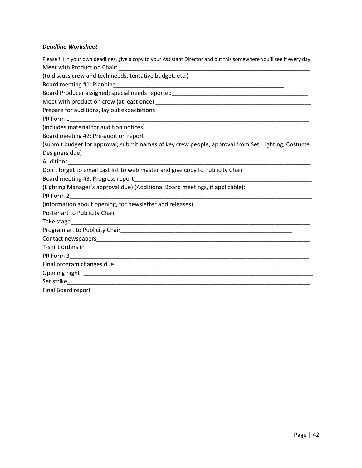#### *Deadline Worksheet*

| Please fill in your own deadlines, give a copy to your Assistant Director and put this somewhere you'll see it every day. |
|---------------------------------------------------------------------------------------------------------------------------|
|                                                                                                                           |
| (to discuss crew and tech needs, tentative budget, etc.)                                                                  |
|                                                                                                                           |
| Board Producer assigned; special needs reported_________________________________                                          |
|                                                                                                                           |
| Prepare for auditions, lay out expectations                                                                               |
| PR Form 1                                                                                                                 |
| (includes material for audition notices)                                                                                  |
| Board meeting #2: Pre-audition report                                                                                     |
| (submit budget for approval; submit names of key crew people, approval from Set, Lighting, Costume                        |
| Designers due)                                                                                                            |
| <b>Auditions</b>                                                                                                          |
| Don't forget to email cast list to web master and give copy to Publicity Chair                                            |
|                                                                                                                           |
| (Lighting Manager's approval due) (Additional Board meetings, if applicable):                                             |
| PR Form 2                                                                                                                 |
| (information about opening, for newsletter and releases)                                                                  |
|                                                                                                                           |
|                                                                                                                           |
|                                                                                                                           |
|                                                                                                                           |
|                                                                                                                           |
|                                                                                                                           |
|                                                                                                                           |
|                                                                                                                           |
|                                                                                                                           |
|                                                                                                                           |
|                                                                                                                           |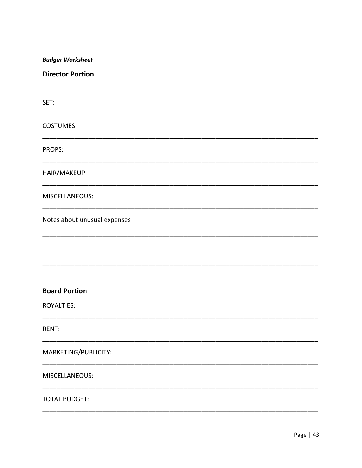**Budget Worksheet** 

**Director Portion** 

SET: **COSTUMES:** PROPS: HAIR/MAKEUP: MISCELLANEOUS: Notes about unusual expenses **Board Portion ROYALTIES:** RENT: MARKETING/PUBLICITY: MISCELLANEOUS: **TOTAL BUDGET:**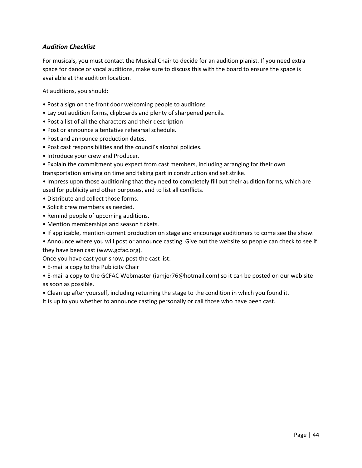#### *Audition Checklist*

For musicals, you must contact the Musical Chair to decide for an audition pianist. If you need extra space for dance or vocal auditions, make sure to discuss this with the board to ensure the space is available at the audition location.

At auditions, you should:

- Post a sign on the front door welcoming people to auditions
- Lay out audition forms, clipboards and plenty of sharpened pencils.
- Post a list of all the characters and their description
- Post or announce a tentative rehearsal schedule.
- Post and announce production dates.
- Post cast responsibilities and the council's alcohol policies.
- Introduce your crew and Producer.
- Explain the commitment you expect from cast members, including arranging for their own transportation arriving on time and taking part in construction and set strike.

• Impress upon those auditioning that they need to completely fill out their audition forms, which are used for publicity and other purposes, and to list all conflicts.

- Distribute and collect those forms.
- Solicit crew members as needed.
- Remind people of upcoming auditions.
- Mention memberships and season tickets.
- If applicable, mention current production on stage and encourage auditioners to come see the show.
- Announce where you will post or announce casting. Give out the website so people can check to see if they have been cast (www.gcfac.org).

Once you have cast your show, post the cast list:

• E-mail a copy to the Publicity Chair

• E-mail a copy to the GCFAC Webmaster (iamjer76@hotmail.com) so it can be posted on our web site as soon as possible.

• Clean up after yourself, including returning the stage to the condition in which you found it.

It is up to you whether to announce casting personally or call those who have been cast.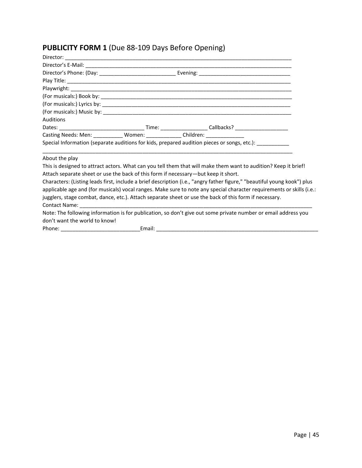# **PUBLICITY FORM 1** (Due 88-109 Days Before Opening)

| Auditions                                                                                                                |  |                                                                                                                 |  |  |
|--------------------------------------------------------------------------------------------------------------------------|--|-----------------------------------------------------------------------------------------------------------------|--|--|
|                                                                                                                          |  |                                                                                                                 |  |  |
|                                                                                                                          |  |                                                                                                                 |  |  |
| Special Information (separate auditions for kids, prepared audition pieces or songs, etc.): _______                      |  |                                                                                                                 |  |  |
|                                                                                                                          |  |                                                                                                                 |  |  |
| About the play                                                                                                           |  |                                                                                                                 |  |  |
|                                                                                                                          |  | This is designed to attract actors. What can you tell them that will make them want to audition? Keep it brief! |  |  |
| Attach separate sheet or use the back of this form if necessary-but keep it short.                                       |  |                                                                                                                 |  |  |
| Characters: (Listing leads first, include a brief description (i.e., "angry father figure," "beautiful young kook") plus |  |                                                                                                                 |  |  |
| applicable age and (for musicals) vocal ranges. Make sure to note any special character requirements or skills (i.e.:    |  |                                                                                                                 |  |  |
| jugglers, stage combat, dance, etc.). Attach separate sheet or use the back of this form if necessary.                   |  |                                                                                                                 |  |  |
|                                                                                                                          |  |                                                                                                                 |  |  |
|                                                                                                                          |  | Note: The following information is for publication, so don't give out some private number or email address you  |  |  |
| don't want the world to know!                                                                                            |  |                                                                                                                 |  |  |
|                                                                                                                          |  |                                                                                                                 |  |  |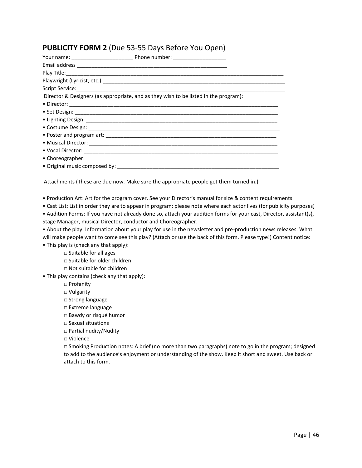### **PUBLICITY FORM 2** (Due 53-55 Days Before You Open)

|  | Director & Designers (as appropriate, and as they wish to be listed in the program): |  |  |
|--|--------------------------------------------------------------------------------------|--|--|
|  |                                                                                      |  |  |
|  |                                                                                      |  |  |
|  |                                                                                      |  |  |
|  |                                                                                      |  |  |
|  |                                                                                      |  |  |
|  |                                                                                      |  |  |
|  |                                                                                      |  |  |
|  |                                                                                      |  |  |
|  |                                                                                      |  |  |

Attachments (These are due now. Make sure the appropriate people get them turned in.)

• Production Art: Art for the program cover. See your Director's manual for size & content requirements.

• Cast List: List in order they are to appear in program; please note where each actor lives (for publicity purposes)

• Audition Forms: If you have not already done so, attach your audition forms for your cast, Director, assistant(s), Stage Manager, musical Director, conductor and Choreographer.

• About the play: Information about your play for use in the newsletter and pre-production news releases. What will make people want to come see this play? (Attach or use the back of this form. Please type!) Content notice:

• This play is (check any that apply):

□ Suitable for all ages

□ Suitable for older children

□ Not suitable for children

• This play contains (check any that apply):

□ Profanity

□ Vulgarity

□ Strong language

□ Extreme language

□ Bawdy or risqué humor

□ Sexual situations

□ Partial nudity/Nudity

□ Violence

□ Smoking Production notes: A brief (no more than two paragraphs) note to go in the program; designed to add to the audience's enjoyment or understanding of the show. Keep it short and sweet. Use back or attach to this form.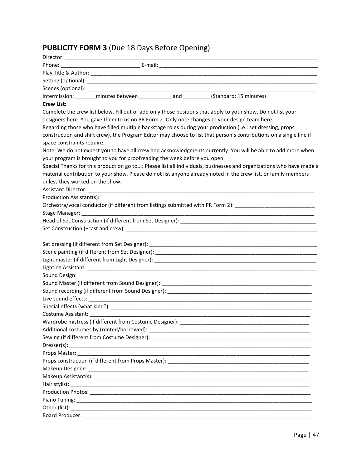# **PUBLICITY FORM 3** (Due 18 Days Before Opening)

|                                 |                                                                           | Intermission: _________minutes between _______________ and __________ (Standard: 15 minutes)                        |
|---------------------------------|---------------------------------------------------------------------------|---------------------------------------------------------------------------------------------------------------------|
| <b>Crew List:</b>               |                                                                           |                                                                                                                     |
|                                 |                                                                           | Complete the crew list below. Fill out or add only those positions that apply to your show. Do not list your        |
|                                 |                                                                           | designers here. You gave them to us on PR Form 2. Only note changes to your design team here.                       |
|                                 |                                                                           | Regarding those who have filled multiple backstage roles during your production (i.e.: set dressing, props          |
|                                 |                                                                           | construction and shift crew), the Program Editor may choose to list that person's contributions on a single line if |
| space constraints require.      |                                                                           |                                                                                                                     |
|                                 |                                                                           | Note: We do not expect you to have all crew and acknowledgments currently. You will be able to add more when        |
|                                 | your program is brought to you for proofreading the week before you open. |                                                                                                                     |
|                                 |                                                                           | Special Thanks for this production go to: Please list all individuals, businesses and organizations who have made a |
|                                 |                                                                           | material contribution to your show. Please do not list anyone already noted in the crew list, or family members     |
| unless they worked on the show. |                                                                           |                                                                                                                     |
|                                 |                                                                           |                                                                                                                     |
|                                 |                                                                           |                                                                                                                     |
|                                 |                                                                           | Orchestra/vocal conductor (if different from listings submitted with PR Form 2): _____________________________      |
|                                 |                                                                           |                                                                                                                     |
|                                 |                                                                           |                                                                                                                     |
|                                 |                                                                           |                                                                                                                     |
|                                 |                                                                           |                                                                                                                     |
|                                 |                                                                           |                                                                                                                     |
|                                 |                                                                           |                                                                                                                     |
|                                 |                                                                           |                                                                                                                     |
| Sound Design:                   |                                                                           |                                                                                                                     |
|                                 |                                                                           |                                                                                                                     |
|                                 |                                                                           |                                                                                                                     |
|                                 |                                                                           |                                                                                                                     |
|                                 |                                                                           |                                                                                                                     |
| Costume Assistant: __________   |                                                                           |                                                                                                                     |
|                                 |                                                                           |                                                                                                                     |
|                                 |                                                                           |                                                                                                                     |
|                                 |                                                                           |                                                                                                                     |
|                                 |                                                                           |                                                                                                                     |
|                                 |                                                                           |                                                                                                                     |
|                                 |                                                                           |                                                                                                                     |
|                                 |                                                                           |                                                                                                                     |
|                                 |                                                                           |                                                                                                                     |
|                                 |                                                                           |                                                                                                                     |
|                                 |                                                                           |                                                                                                                     |
|                                 |                                                                           |                                                                                                                     |
|                                 |                                                                           |                                                                                                                     |
|                                 |                                                                           |                                                                                                                     |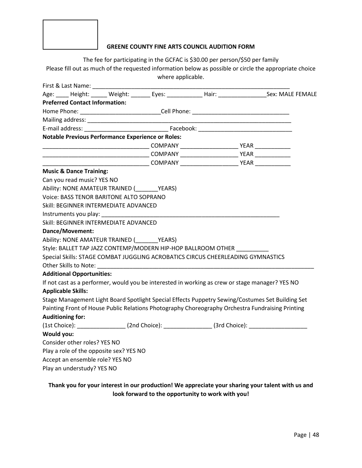

#### **GREENE COUNTY FINE ARTS COUNCIL AUDITION FORM**

The fee for participating in the GCFAC is \$30.00 per person/\$50 per family Please fill out as much of the requested information below as possible or circle the appropriate choice where applicable.

| First & Last Name:                                                              |  |                                                                                          |                                                                                                                      |
|---------------------------------------------------------------------------------|--|------------------------------------------------------------------------------------------|----------------------------------------------------------------------------------------------------------------------|
|                                                                                 |  |                                                                                          | Age: ____ Height: _____ Weight: ______ Eyes: __________ Hair: ________________Sex: MALE FEMALE                       |
| <b>Preferred Contact Information:</b>                                           |  |                                                                                          |                                                                                                                      |
|                                                                                 |  |                                                                                          |                                                                                                                      |
|                                                                                 |  |                                                                                          | <u> 1990 - Johann John Harry Harry Harry Harry Harry Harry Harry Harry Harry Harry Harry Harry Harry Harry Harry</u> |
|                                                                                 |  |                                                                                          |                                                                                                                      |
| <b>Notable Previous Performance Experience or Roles:</b>                        |  |                                                                                          |                                                                                                                      |
|                                                                                 |  | _________________________________COMPANY ____________________________YEAR ______________ |                                                                                                                      |
|                                                                                 |  |                                                                                          |                                                                                                                      |
|                                                                                 |  |                                                                                          |                                                                                                                      |
| <b>Music &amp; Dance Training:</b>                                              |  |                                                                                          |                                                                                                                      |
| Can you read music? YES NO                                                      |  |                                                                                          |                                                                                                                      |
| Ability: NONE AMATEUR TRAINED (VEARS)                                           |  |                                                                                          |                                                                                                                      |
| Voice: BASS TENOR BARITONE ALTO SOPRANO                                         |  |                                                                                          |                                                                                                                      |
| Skill: BEGINNER INTERMEDIATE ADVANCED                                           |  |                                                                                          |                                                                                                                      |
|                                                                                 |  |                                                                                          |                                                                                                                      |
| Skill: BEGINNER INTERMEDIATE ADVANCED                                           |  |                                                                                          |                                                                                                                      |
| Dance/Movement:                                                                 |  |                                                                                          |                                                                                                                      |
| Ability: NONE AMATEUR TRAINED (VEARS)                                           |  |                                                                                          |                                                                                                                      |
| Style: BALLET TAP JAZZ CONTEMP/MODERN HIP-HOP BALLROOM OTHER                    |  |                                                                                          |                                                                                                                      |
| Special Skills: STAGE COMBAT JUGGLING ACROBATICS CIRCUS CHEERLEADING GYMNASTICS |  |                                                                                          |                                                                                                                      |
|                                                                                 |  |                                                                                          |                                                                                                                      |
| <b>Additional Opportunities:</b>                                                |  |                                                                                          |                                                                                                                      |
|                                                                                 |  |                                                                                          | If not cast as a performer, would you be interested in working as crew or stage manager? YES NO                      |
| <b>Applicable Skills:</b>                                                       |  |                                                                                          |                                                                                                                      |
|                                                                                 |  |                                                                                          | Stage Management Light Board Spotlight Special Effects Puppetry Sewing/Costumes Set Building Set                     |
|                                                                                 |  |                                                                                          | Painting Front of House Public Relations Photography Choreography Orchestra Fundraising Printing                     |
| <b>Auditioning for:</b>                                                         |  |                                                                                          |                                                                                                                      |
|                                                                                 |  |                                                                                          | (1st Choice): ___________________(2nd Choice): _______________(3rd Choice): _______________________                  |
| Would you:                                                                      |  |                                                                                          |                                                                                                                      |
| Consider other roles? YES NO                                                    |  |                                                                                          |                                                                                                                      |
| Play a role of the opposite sex? YES NO                                         |  |                                                                                          |                                                                                                                      |
| Accept an ensemble role? YES NO                                                 |  |                                                                                          |                                                                                                                      |
| Play an understudy? YES NO                                                      |  |                                                                                          |                                                                                                                      |

### **Thank you for your interest in our production! We appreciate your sharing your talent with us and look forward to the opportunity to work with you!**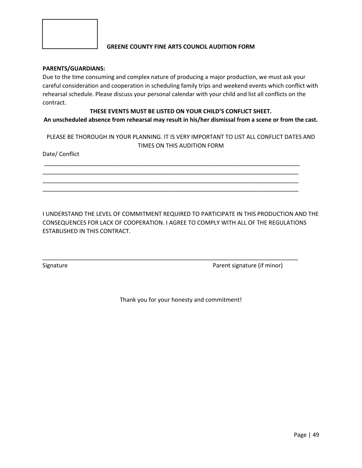

#### **GREENE COUNTY FINE ARTS COUNCIL AUDITION FORM**

#### **PARENTS/GUARDIANS:**

Due to the time consuming and complex nature of producing a major production, we must ask your careful consideration and cooperation in scheduling family trips and weekend events which conflict with rehearsal schedule. Please discuss your personal calendar with your child and list all conflicts on the contract.

#### **THESE EVENTS MUST BE LISTED ON YOUR CHILD'S CONFLICT SHEET. An unscheduled absence from rehearsal may result in his/her dismissal from a scene or from the cast.**

PLEASE BE THOROUGH IN YOUR PLANNING. IT IS VERY IMPORTANT TO LIST ALL CONFLICT DATES AND TIMES ON THIS AUDITION FORM

\_\_\_\_\_\_\_\_\_\_\_\_\_\_\_\_\_\_\_\_\_\_\_\_\_\_\_\_\_\_\_\_\_\_\_\_\_\_\_\_\_\_\_\_\_\_\_\_\_\_\_\_\_\_\_\_\_\_\_\_\_\_\_\_\_\_\_\_\_\_\_\_\_\_\_\_\_\_\_ \_\_\_\_\_\_\_\_\_\_\_\_\_\_\_\_\_\_\_\_\_\_\_\_\_\_\_\_\_\_\_\_\_\_\_\_\_\_\_\_\_\_\_\_\_\_\_\_\_\_\_\_\_\_\_\_\_\_\_\_\_\_\_\_\_\_\_\_\_\_\_\_\_\_\_\_\_\_\_ \_\_\_\_\_\_\_\_\_\_\_\_\_\_\_\_\_\_\_\_\_\_\_\_\_\_\_\_\_\_\_\_\_\_\_\_\_\_\_\_\_\_\_\_\_\_\_\_\_\_\_\_\_\_\_\_\_\_\_\_\_\_\_\_\_\_\_\_\_\_\_\_\_\_\_\_\_\_\_ \_\_\_\_\_\_\_\_\_\_\_\_\_\_\_\_\_\_\_\_\_\_\_\_\_\_\_\_\_\_\_\_\_\_\_\_\_\_\_\_\_\_\_\_\_\_\_\_\_\_\_\_\_\_\_\_\_\_\_\_\_\_\_\_\_\_\_\_\_\_\_\_\_\_\_\_\_\_\_

Date/ Conflict

I UNDERSTAND THE LEVEL OF COMMITMENT REQUIRED TO PARTICIPATE IN THIS PRODUCTION AND THE CONSEQUENCES FOR LACK OF COOPERATION. I AGREE TO COMPLY WITH ALL OF THE REGULATIONS ESTABLISHED IN THIS CONTRACT.

\_\_\_\_\_\_\_\_\_\_\_\_\_\_\_\_\_\_\_\_\_\_\_\_\_\_\_\_\_\_\_\_\_\_\_\_\_\_\_\_\_\_\_\_\_\_\_\_\_\_\_\_\_\_\_\_\_\_\_\_\_\_\_\_\_\_\_\_\_\_\_\_\_\_\_\_\_\_\_

Signature **Parent signature** (if minor)

Thank you for your honesty and commitment!